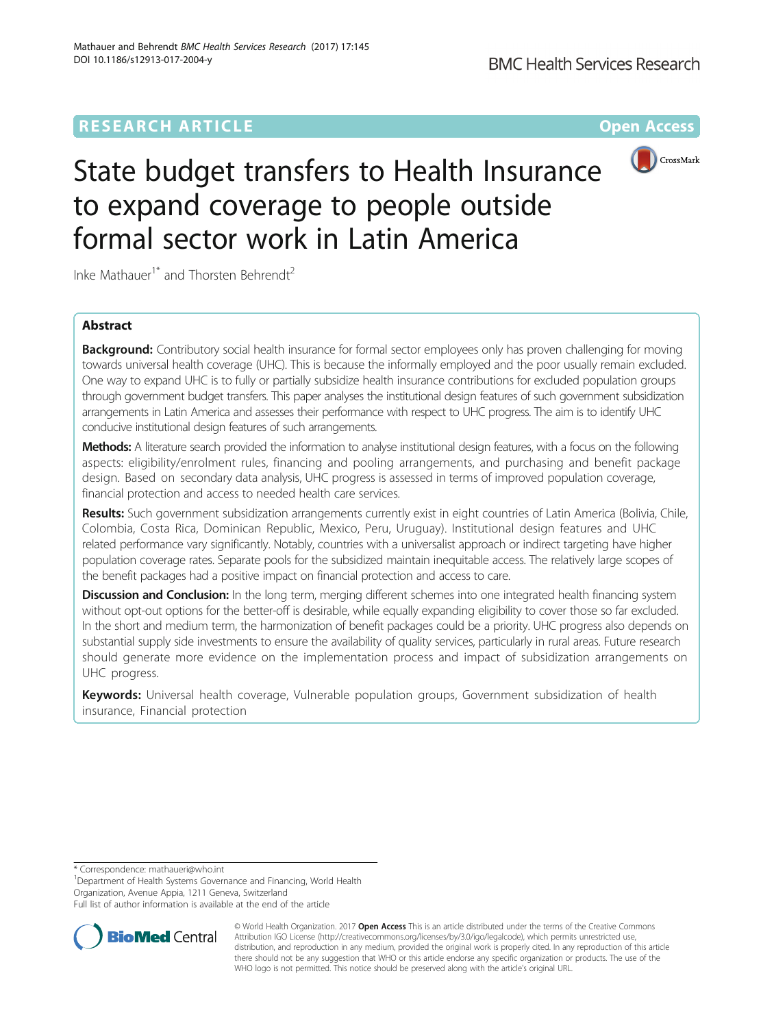# **RESEARCH ARTICLE Example 2014 12:30 The Contract of Contract ACCESS**



# State budget transfers to Health Insurance to expand coverage to people outside formal sector work in Latin America

Inke Mathauer<sup>1\*</sup> and Thorsten Behrendt<sup>2</sup>

# Abstract

**Background:** Contributory social health insurance for formal sector employees only has proven challenging for moving towards universal health coverage (UHC). This is because the informally employed and the poor usually remain excluded. One way to expand UHC is to fully or partially subsidize health insurance contributions for excluded population groups through government budget transfers. This paper analyses the institutional design features of such government subsidization arrangements in Latin America and assesses their performance with respect to UHC progress. The aim is to identify UHC conducive institutional design features of such arrangements.

Methods: A literature search provided the information to analyse institutional design features, with a focus on the following aspects: eligibility/enrolment rules, financing and pooling arrangements, and purchasing and benefit package design. Based on secondary data analysis, UHC progress is assessed in terms of improved population coverage, financial protection and access to needed health care services.

Results: Such government subsidization arrangements currently exist in eight countries of Latin America (Bolivia, Chile, Colombia, Costa Rica, Dominican Republic, Mexico, Peru, Uruguay). Institutional design features and UHC related performance vary significantly. Notably, countries with a universalist approach or indirect targeting have higher population coverage rates. Separate pools for the subsidized maintain inequitable access. The relatively large scopes of the benefit packages had a positive impact on financial protection and access to care.

**Discussion and Conclusion:** In the long term, merging different schemes into one integrated health financing system without opt-out options for the better-off is desirable, while equally expanding eligibility to cover those so far excluded. In the short and medium term, the harmonization of benefit packages could be a priority. UHC progress also depends on substantial supply side investments to ensure the availability of quality services, particularly in rural areas. Future research should generate more evidence on the implementation process and impact of subsidization arrangements on UHC progress.

Keywords: Universal health coverage, Vulnerable population groups, Government subsidization of health insurance, Financial protection

\* Correspondence: [mathaueri@who.int](mailto:mathaueri@who.int) <sup>1</sup>

<sup>1</sup>Department of Health Systems Governance and Financing, World Health Organization, Avenue Appia, 1211 Geneva, Switzerland

Full list of author information is available at the end of the article



© World Health Organization. 2017 Open Access This is an article distributed under the terms of the Creative Commons Attribution IGO License (http://creativecommons.org/licenses/by/3.0/igo/legalcode), which permits unrestricted use, distribution, and reproduction in any medium, provided the original work is properly cited. In any reproduction of this article there should not be any suggestion that WHO or this article endorse any specific organization or products. The use of the WHO logo is not permitted. This notice should be preserved along with the article's original URL.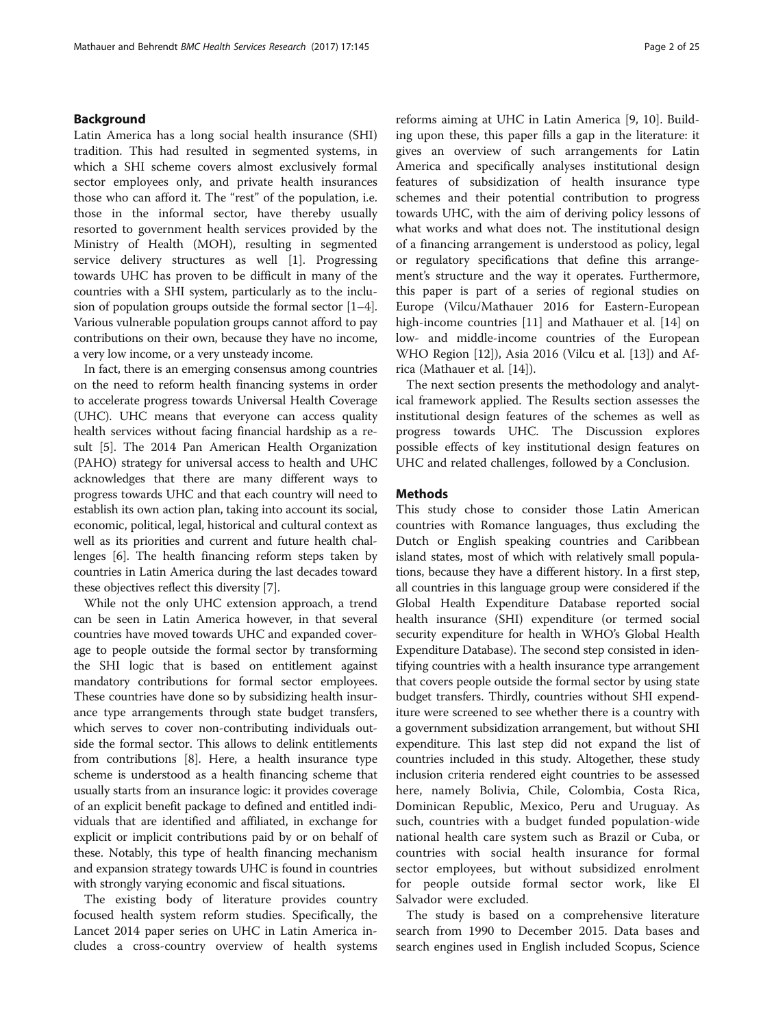#### Background

Latin America has a long social health insurance (SHI) tradition. This had resulted in segmented systems, in which a SHI scheme covers almost exclusively formal sector employees only, and private health insurances those who can afford it. The "rest" of the population, i.e. those in the informal sector, have thereby usually resorted to government health services provided by the Ministry of Health (MOH), resulting in segmented service delivery structures as well [[1\]](#page-21-0). Progressing towards UHC has proven to be difficult in many of the countries with a SHI system, particularly as to the inclusion of population groups outside the formal sector [[1](#page-21-0)–[4](#page-21-0)]. Various vulnerable population groups cannot afford to pay contributions on their own, because they have no income, a very low income, or a very unsteady income.

In fact, there is an emerging consensus among countries on the need to reform health financing systems in order to accelerate progress towards Universal Health Coverage (UHC). UHC means that everyone can access quality health services without facing financial hardship as a result [[5](#page-21-0)]. The 2014 Pan American Health Organization (PAHO) strategy for universal access to health and UHC acknowledges that there are many different ways to progress towards UHC and that each country will need to establish its own action plan, taking into account its social, economic, political, legal, historical and cultural context as well as its priorities and current and future health challenges [[6](#page-21-0)]. The health financing reform steps taken by countries in Latin America during the last decades toward these objectives reflect this diversity [[7](#page-21-0)].

While not the only UHC extension approach, a trend can be seen in Latin America however, in that several countries have moved towards UHC and expanded coverage to people outside the formal sector by transforming the SHI logic that is based on entitlement against mandatory contributions for formal sector employees. These countries have done so by subsidizing health insurance type arrangements through state budget transfers, which serves to cover non-contributing individuals outside the formal sector. This allows to delink entitlements from contributions [[8\]](#page-21-0). Here, a health insurance type scheme is understood as a health financing scheme that usually starts from an insurance logic: it provides coverage of an explicit benefit package to defined and entitled individuals that are identified and affiliated, in exchange for explicit or implicit contributions paid by or on behalf of these. Notably, this type of health financing mechanism and expansion strategy towards UHC is found in countries with strongly varying economic and fiscal situations.

The existing body of literature provides country focused health system reform studies. Specifically, the Lancet 2014 paper series on UHC in Latin America includes a cross-country overview of health systems

reforms aiming at UHC in Latin America [\[9](#page-21-0), [10\]](#page-21-0). Building upon these, this paper fills a gap in the literature: it gives an overview of such arrangements for Latin America and specifically analyses institutional design features of subsidization of health insurance type schemes and their potential contribution to progress towards UHC, with the aim of deriving policy lessons of what works and what does not. The institutional design of a financing arrangement is understood as policy, legal or regulatory specifications that define this arrangement's structure and the way it operates. Furthermore, this paper is part of a series of regional studies on Europe (Vilcu/Mathauer 2016 for Eastern-European high-income countries [[11\]](#page-21-0) and Mathauer et al. [\[14](#page-21-0)] on low- and middle-income countries of the European WHO Region [[12\]](#page-21-0)), Asia 2016 (Vilcu et al. [[13](#page-21-0)]) and Africa (Mathauer et al. [\[14](#page-21-0)]).

The next section presents the methodology and analytical framework applied. The [Results](#page-2-0) section assesses the institutional design features of the schemes as well as progress towards UHC. The [Discussion](#page-18-0) explores possible effects of key institutional design features on UHC and related challenges, followed by a [Conclusion.](#page-20-0)

#### Methods

This study chose to consider those Latin American countries with Romance languages, thus excluding the Dutch or English speaking countries and Caribbean island states, most of which with relatively small populations, because they have a different history. In a first step, all countries in this language group were considered if the Global Health Expenditure Database reported social health insurance (SHI) expenditure (or termed social security expenditure for health in WHO's Global Health Expenditure Database). The second step consisted in identifying countries with a health insurance type arrangement that covers people outside the formal sector by using state budget transfers. Thirdly, countries without SHI expenditure were screened to see whether there is a country with a government subsidization arrangement, but without SHI expenditure. This last step did not expand the list of countries included in this study. Altogether, these study inclusion criteria rendered eight countries to be assessed here, namely Bolivia, Chile, Colombia, Costa Rica, Dominican Republic, Mexico, Peru and Uruguay. As such, countries with a budget funded population-wide national health care system such as Brazil or Cuba, or countries with social health insurance for formal sector employees, but without subsidized enrolment for people outside formal sector work, like El Salvador were excluded.

The study is based on a comprehensive literature search from 1990 to December 2015. Data bases and search engines used in English included Scopus, Science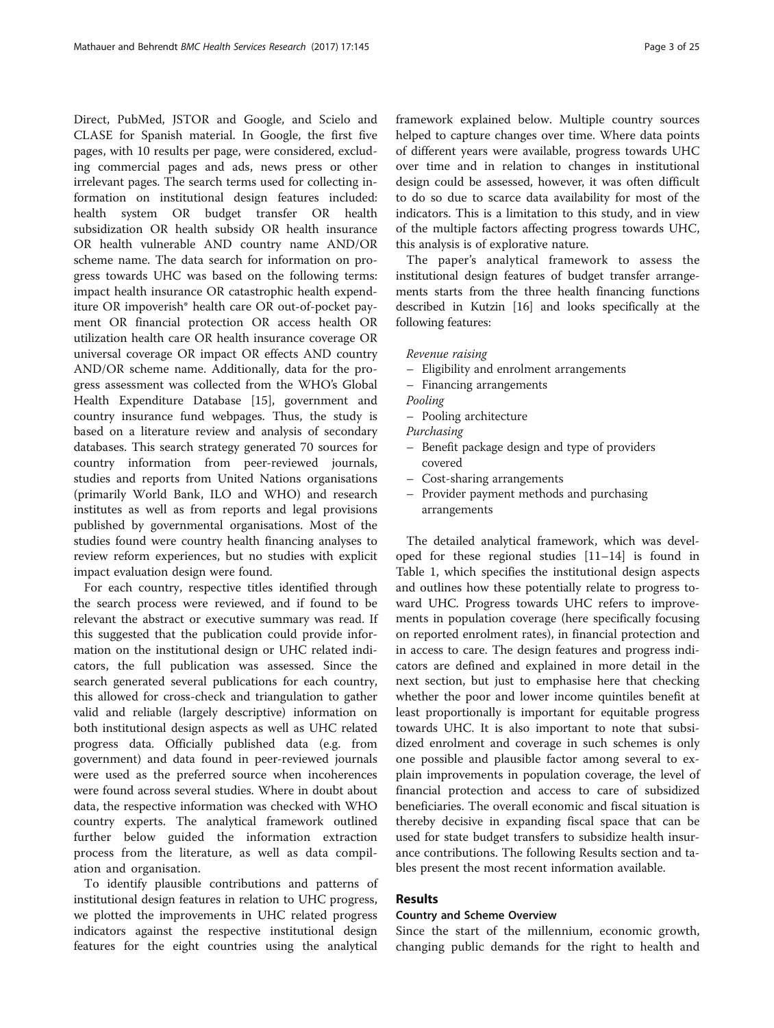<span id="page-2-0"></span>Direct, PubMed, JSTOR and Google, and Scielo and CLASE for Spanish material. In Google, the first five pages, with 10 results per page, were considered, excluding commercial pages and ads, news press or other irrelevant pages. The search terms used for collecting information on institutional design features included: health system OR budget transfer OR health subsidization OR health subsidy OR health insurance OR health vulnerable AND country name AND/OR scheme name. The data search for information on progress towards UHC was based on the following terms: impact health insurance OR catastrophic health expenditure OR impoverish\* health care OR out-of-pocket payment OR financial protection OR access health OR utilization health care OR health insurance coverage OR universal coverage OR impact OR effects AND country AND/OR scheme name. Additionally, data for the progress assessment was collected from the WHO's Global Health Expenditure Database [\[15](#page-21-0)], government and country insurance fund webpages. Thus, the study is based on a literature review and analysis of secondary databases. This search strategy generated 70 sources for country information from peer-reviewed journals, studies and reports from United Nations organisations (primarily World Bank, ILO and WHO) and research institutes as well as from reports and legal provisions published by governmental organisations. Most of the studies found were country health financing analyses to review reform experiences, but no studies with explicit impact evaluation design were found.

For each country, respective titles identified through the search process were reviewed, and if found to be relevant the abstract or executive summary was read. If this suggested that the publication could provide information on the institutional design or UHC related indicators, the full publication was assessed. Since the search generated several publications for each country, this allowed for cross-check and triangulation to gather valid and reliable (largely descriptive) information on both institutional design aspects as well as UHC related progress data. Officially published data (e.g. from government) and data found in peer-reviewed journals were used as the preferred source when incoherences were found across several studies. Where in doubt about data, the respective information was checked with WHO country experts. The analytical framework outlined further below guided the information extraction process from the literature, as well as data compilation and organisation.

To identify plausible contributions and patterns of institutional design features in relation to UHC progress, we plotted the improvements in UHC related progress indicators against the respective institutional design features for the eight countries using the analytical

framework explained below. Multiple country sources helped to capture changes over time. Where data points of different years were available, progress towards UHC over time and in relation to changes in institutional design could be assessed, however, it was often difficult to do so due to scarce data availability for most of the indicators. This is a limitation to this study, and in view of the multiple factors affecting progress towards UHC, this analysis is of explorative nature.

The paper's analytical framework to assess the institutional design features of budget transfer arrangements starts from the three health financing functions described in Kutzin [[16](#page-21-0)] and looks specifically at the following features:

- Eligibility and enrolment arrangements
- Financing arrangements
	-
	- Pooling architecture
- 
- Benefit package design and type of providers covered
- Cost-sharing arrangements
- Provider payment methods and purchasing arrangements

The detailed analytical framework, which was developed for these regional studies [[11](#page-21-0)–[14](#page-21-0)] is found in Table [1,](#page-3-0) which specifies the institutional design aspects and outlines how these potentially relate to progress toward UHC. Progress towards UHC refers to improvements in population coverage (here specifically focusing on reported enrolment rates), in financial protection and in access to care. The design features and progress indicators are defined and explained in more detail in the next section, but just to emphasise here that checking whether the poor and lower income quintiles benefit at least proportionally is important for equitable progress towards UHC. It is also important to note that subsidized enrolment and coverage in such schemes is only one possible and plausible factor among several to explain improvements in population coverage, the level of financial protection and access to care of subsidized beneficiaries. The overall economic and fiscal situation is thereby decisive in expanding fiscal space that can be used for state budget transfers to subsidize health insurance contributions. The following Results section and tables present the most recent information available.

#### Results

#### Country and Scheme Overview

Since the start of the millennium, economic growth, changing public demands for the right to health and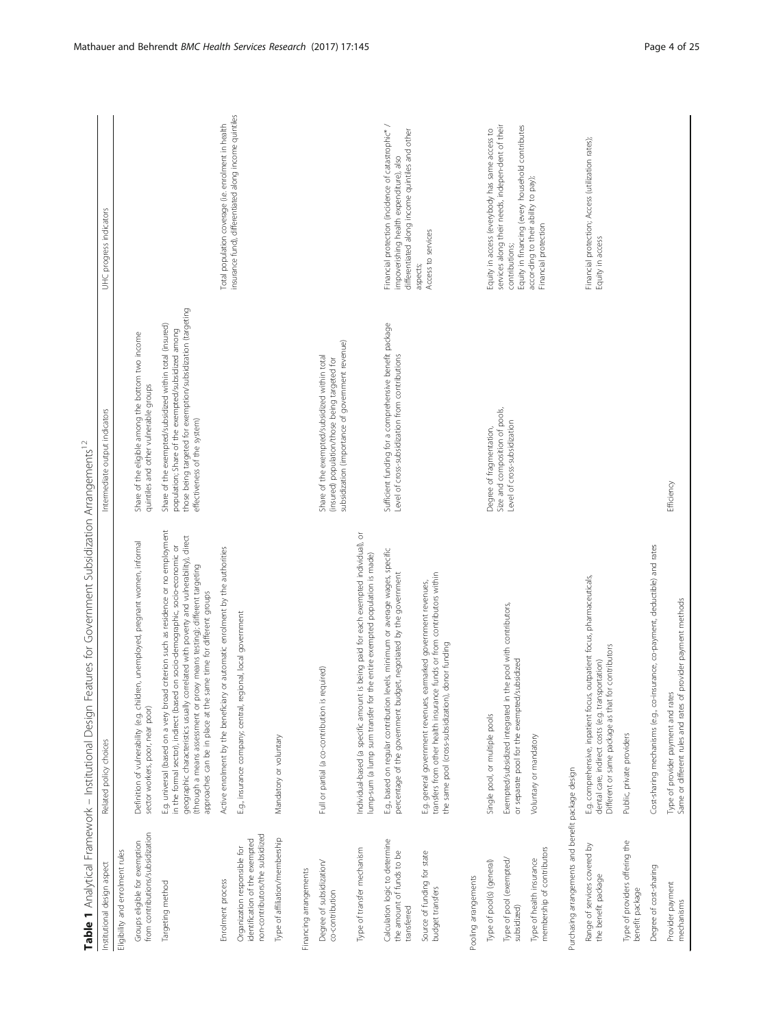<span id="page-3-0"></span>

| Table 1 Analytical Framework - Institutional Design                                               | atures for Government Subsidization Arrangements <sup>12</sup><br>டி                                                                                                                                                                                                                                                                                                                                             |                                                                                                                                                                                                              |                                                                                                                                                 |
|---------------------------------------------------------------------------------------------------|------------------------------------------------------------------------------------------------------------------------------------------------------------------------------------------------------------------------------------------------------------------------------------------------------------------------------------------------------------------------------------------------------------------|--------------------------------------------------------------------------------------------------------------------------------------------------------------------------------------------------------------|-------------------------------------------------------------------------------------------------------------------------------------------------|
| Institutional design aspect                                                                       | Related policy choices                                                                                                                                                                                                                                                                                                                                                                                           | Intermediate output indicators                                                                                                                                                                               | UHC progress indicators                                                                                                                         |
| Eligibility and enrolment rules                                                                   |                                                                                                                                                                                                                                                                                                                                                                                                                  |                                                                                                                                                                                                              |                                                                                                                                                 |
| from contributions/subsidization<br>Groups eligible for exemption                                 | Definition of vulnerability (e.g. children, unemployed, pregnant women, informal<br>sector workers, poor, near poor)                                                                                                                                                                                                                                                                                             | Share of the eligible among the bottom two income<br>quintiles and other vulnerable groups                                                                                                                   |                                                                                                                                                 |
| Targeting method                                                                                  | criterion such as residence or no employment<br>geographic characteristics usually correlated with poverty and vulnerability), direct<br>in the formal sector), indirect (based on socio-demographic, socio-economic or<br>(through a means assessment or proxy means testing); different targeting<br>approaches can be in place at the same time for different groups<br>E.g. universal (based on a very broad | those being targeted for exemption/subsidization (targeting<br>Share of the exempted/subsidized within total (insured)<br>population; Share of the exempted/subsidized among<br>effectiveness of the system) |                                                                                                                                                 |
| Enrolment process                                                                                 | or automatic enrolment by the authorities<br>Active enrolment by the beneficiary                                                                                                                                                                                                                                                                                                                                 |                                                                                                                                                                                                              | Total population coverage (i.e. enrolment in health                                                                                             |
| non-contributors/the subsidized<br>identification of the exempted<br>Organization responsible for | ional, local government<br>E.g., insurance company; central, regi                                                                                                                                                                                                                                                                                                                                                |                                                                                                                                                                                                              | insurance fund), differentiated along income quintiles                                                                                          |
| Type of affiliation/membership                                                                    | Mandatory or voluntary                                                                                                                                                                                                                                                                                                                                                                                           |                                                                                                                                                                                                              |                                                                                                                                                 |
| Financing arrangements                                                                            |                                                                                                                                                                                                                                                                                                                                                                                                                  |                                                                                                                                                                                                              |                                                                                                                                                 |
| Degree of subsidization/<br>co-contribution                                                       | Full or partial (a co-contribution is required)                                                                                                                                                                                                                                                                                                                                                                  | subsidization (importance of government revenue)<br>Share of the exempted/subsidized within total<br>(insured) population/those being targeted for                                                           |                                                                                                                                                 |
| Type of transfer mechanism                                                                        | Individual-based (a specific amount is being paid for each exempted individual), or<br>lump-sum (a lump sum transfer for the entire exempted population is made)                                                                                                                                                                                                                                                 |                                                                                                                                                                                                              |                                                                                                                                                 |
| Calculation logic to determine<br>the amount of funds to be<br>transferred                        | E.g., based on regular contribution levels, minimum or average wages, specific<br>percentage of the government budget, negotiated by the government                                                                                                                                                                                                                                                              | Sufficient funding for a comprehensive benefit package<br>Level of cross-subsidization from contributions                                                                                                    | Financial protection (incidence of catastrophic*/<br>differentiated along income quintiles and other<br>impoverishing health expenditure), also |
| Source of funding for state<br>budget transfers                                                   | funds or from contributors within<br>E.g. general government revenues, earmarked government revenues,<br>the same pool (cross-subsidization), donor funding<br>transfers from other health insurance                                                                                                                                                                                                             |                                                                                                                                                                                                              | Access to services<br>aspects;                                                                                                                  |
| Pooling arrangements                                                                              |                                                                                                                                                                                                                                                                                                                                                                                                                  |                                                                                                                                                                                                              |                                                                                                                                                 |
| Type of pool(s) (general)                                                                         | Single pool, or multiple pools                                                                                                                                                                                                                                                                                                                                                                                   | Degree of fragmentation,                                                                                                                                                                                     | Equity in access (everybody has same access to                                                                                                  |
| Type of pool (exempted/<br>subsidized)                                                            | Exempted/subsidized integrated in the pool with contributors,<br>or separate pool for the exempted/subsidized                                                                                                                                                                                                                                                                                                    | Size and composition of pools,<br>Level of cross-subsidization                                                                                                                                               | services along their needs, indepen-dent of their<br>Equity in financing (every household contributes<br>contributions;                         |
| membership of contributors<br>Type of health insurance                                            | Voluntary or mandatory                                                                                                                                                                                                                                                                                                                                                                                           |                                                                                                                                                                                                              | accor-ding to their ability to pay);<br>Financial protection                                                                                    |
| Purchasing arrangements and benefit package design                                                |                                                                                                                                                                                                                                                                                                                                                                                                                  |                                                                                                                                                                                                              |                                                                                                                                                 |
| ò<br>Range of services covered<br>the benefit package                                             | E.g. comprehensive, inpatient focus, outpatient focus, pharmaceuticals,<br>contributors<br>dental care, indirect costs (e.g. transportation)<br>Different or same package as that for                                                                                                                                                                                                                            |                                                                                                                                                                                                              | Financial protection; Access (utilization rates);<br>Equity in access                                                                           |
| Type of providers offering the<br>benefit package                                                 | Public, private providers                                                                                                                                                                                                                                                                                                                                                                                        |                                                                                                                                                                                                              |                                                                                                                                                 |
| Degree of cost-sharing                                                                            | Cost-sharing mechanisms (e.g., co-insurance, co-payment, deductible) and rates                                                                                                                                                                                                                                                                                                                                   |                                                                                                                                                                                                              |                                                                                                                                                 |
| Provider payment<br>mechanisms                                                                    | provider payment methods<br>Type of provider payment and rates<br>Same or different rules and rates of µ                                                                                                                                                                                                                                                                                                         | Efficiency                                                                                                                                                                                                   |                                                                                                                                                 |
|                                                                                                   |                                                                                                                                                                                                                                                                                                                                                                                                                  |                                                                                                                                                                                                              |                                                                                                                                                 |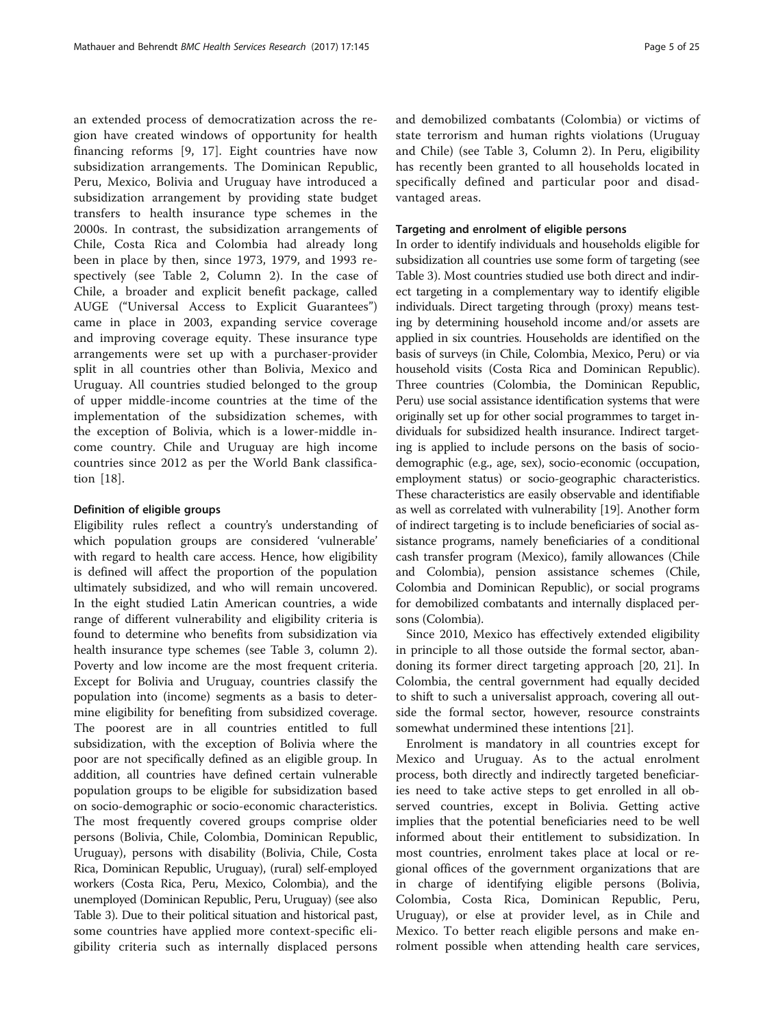an extended process of democratization across the region have created windows of opportunity for health financing reforms [\[9](#page-21-0), [17](#page-21-0)]. Eight countries have now subsidization arrangements. The Dominican Republic, Peru, Mexico, Bolivia and Uruguay have introduced a subsidization arrangement by providing state budget transfers to health insurance type schemes in the 2000s. In contrast, the subsidization arrangements of Chile, Costa Rica and Colombia had already long been in place by then, since 1973, 1979, and 1993 respectively (see Table [2,](#page-5-0) Column 2). In the case of Chile, a broader and explicit benefit package, called AUGE ("Universal Access to Explicit Guarantees") came in place in 2003, expanding service coverage and improving coverage equity. These insurance type arrangements were set up with a purchaser-provider split in all countries other than Bolivia, Mexico and Uruguay. All countries studied belonged to the group of upper middle-income countries at the time of the implementation of the subsidization schemes, with the exception of Bolivia, which is a lower-middle income country. Chile and Uruguay are high income countries since 2012 as per the World Bank classification [[18](#page-21-0)].

#### Definition of eligible groups

Eligibility rules reflect a country's understanding of which population groups are considered 'vulnerable' with regard to health care access. Hence, how eligibility is defined will affect the proportion of the population ultimately subsidized, and who will remain uncovered. In the eight studied Latin American countries, a wide range of different vulnerability and eligibility criteria is found to determine who benefits from subsidization via health insurance type schemes (see Table [3](#page-6-0), column 2). Poverty and low income are the most frequent criteria. Except for Bolivia and Uruguay, countries classify the population into (income) segments as a basis to determine eligibility for benefiting from subsidized coverage. The poorest are in all countries entitled to full subsidization, with the exception of Bolivia where the poor are not specifically defined as an eligible group. In addition, all countries have defined certain vulnerable population groups to be eligible for subsidization based on socio-demographic or socio-economic characteristics. The most frequently covered groups comprise older persons (Bolivia, Chile, Colombia, Dominican Republic, Uruguay), persons with disability (Bolivia, Chile, Costa Rica, Dominican Republic, Uruguay), (rural) self-employed workers (Costa Rica, Peru, Mexico, Colombia), and the unemployed (Dominican Republic, Peru, Uruguay) (see also Table [3\)](#page-6-0). Due to their political situation and historical past, some countries have applied more context-specific eligibility criteria such as internally displaced persons and demobilized combatants (Colombia) or victims of state terrorism and human rights violations (Uruguay and Chile) (see Table [3](#page-6-0), Column 2). In Peru, eligibility has recently been granted to all households located in specifically defined and particular poor and disadvantaged areas.

#### Targeting and enrolment of eligible persons

In order to identify individuals and households eligible for subsidization all countries use some form of targeting (see Table [3\)](#page-6-0). Most countries studied use both direct and indirect targeting in a complementary way to identify eligible individuals. Direct targeting through (proxy) means testing by determining household income and/or assets are applied in six countries. Households are identified on the basis of surveys (in Chile, Colombia, Mexico, Peru) or via household visits (Costa Rica and Dominican Republic). Three countries (Colombia, the Dominican Republic, Peru) use social assistance identification systems that were originally set up for other social programmes to target individuals for subsidized health insurance. Indirect targeting is applied to include persons on the basis of sociodemographic (e.g., age, sex), socio-economic (occupation, employment status) or socio-geographic characteristics. These characteristics are easily observable and identifiable as well as correlated with vulnerability [[19\]](#page-21-0). Another form of indirect targeting is to include beneficiaries of social assistance programs, namely beneficiaries of a conditional cash transfer program (Mexico), family allowances (Chile and Colombia), pension assistance schemes (Chile, Colombia and Dominican Republic), or social programs for demobilized combatants and internally displaced persons (Colombia).

Since 2010, Mexico has effectively extended eligibility in principle to all those outside the formal sector, abandoning its former direct targeting approach [[20, 21\]](#page-22-0). In Colombia, the central government had equally decided to shift to such a universalist approach, covering all outside the formal sector, however, resource constraints somewhat undermined these intentions [[21\]](#page-22-0).

Enrolment is mandatory in all countries except for Mexico and Uruguay. As to the actual enrolment process, both directly and indirectly targeted beneficiaries need to take active steps to get enrolled in all observed countries, except in Bolivia. Getting active implies that the potential beneficiaries need to be well informed about their entitlement to subsidization. In most countries, enrolment takes place at local or regional offices of the government organizations that are in charge of identifying eligible persons (Bolivia, Colombia, Costa Rica, Dominican Republic, Peru, Uruguay), or else at provider level, as in Chile and Mexico. To better reach eligible persons and make enrolment possible when attending health care services,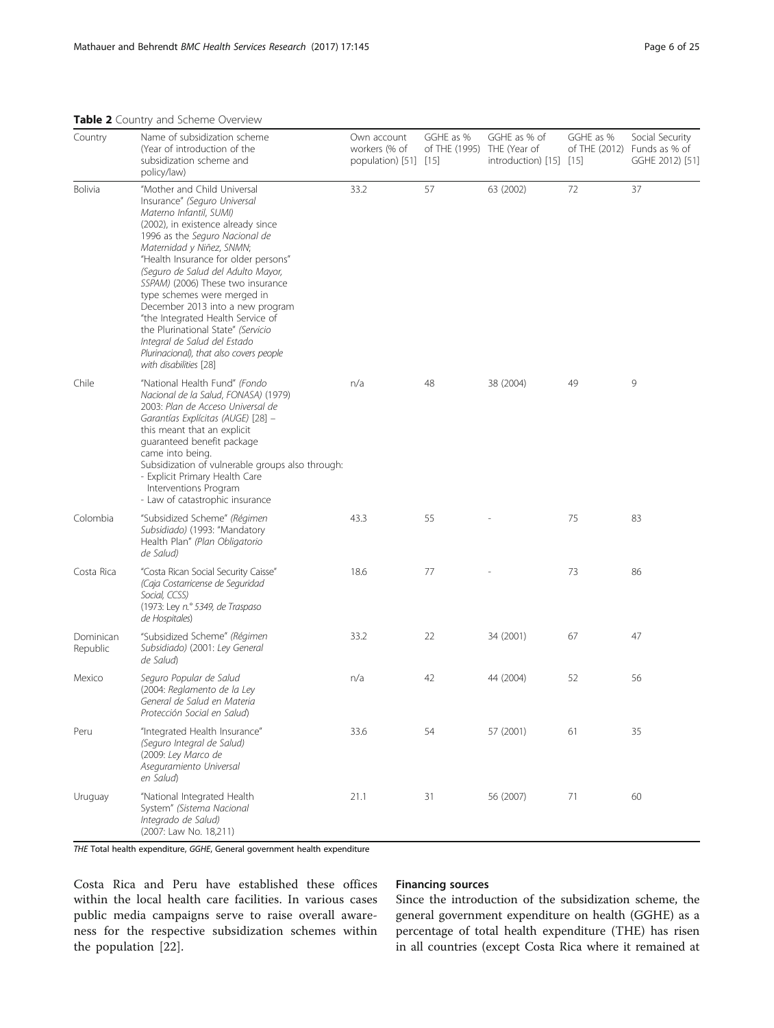<span id="page-5-0"></span>Table 2 Country and Scheme Overview

| Country               | Name of subsidization scheme<br>(Year of introduction of the<br>subsidization scheme and<br>policy/law)                                                                                                                                                                                                                                                                                                                                                                                                                                                           | Own account<br>workers (% of<br>population) $[51]$ $[15]$ | GGHE as %<br>of THE (1995) THE (Year of | GGHE as % of<br>$introduction)$ [15] [15] | GGHE as % | Social Security<br>of THE $(2012)$ Funds as % of<br>GGHE 2012) [51] |
|-----------------------|-------------------------------------------------------------------------------------------------------------------------------------------------------------------------------------------------------------------------------------------------------------------------------------------------------------------------------------------------------------------------------------------------------------------------------------------------------------------------------------------------------------------------------------------------------------------|-----------------------------------------------------------|-----------------------------------------|-------------------------------------------|-----------|---------------------------------------------------------------------|
| Bolivia               | "Mother and Child Universal<br>Insurance" (Seguro Universal<br>Materno Infantil, SUMI)<br>(2002), in existence already since<br>1996 as the Seguro Nacional de<br>Maternidad y Niñez, SNMN;<br>"Health Insurance for older persons"<br>(Seguro de Salud del Adulto Mayor,<br>SSPAM) (2006) These two insurance<br>type schemes were merged in<br>December 2013 into a new program<br>"the Integrated Health Service of<br>the Plurinational State" (Servicio<br>Integral de Salud del Estado<br>Plurinacional), that also covers people<br>with disabilities [28] | 33.2                                                      | 57                                      | 63 (2002)                                 | 72        | 37                                                                  |
| Chile                 | "National Health Fund" (Fondo<br>Nacional de la Salud, FONASA) (1979)<br>2003: Plan de Acceso Universal de<br>Garantías Explícitas (AUGE) [28] -<br>this meant that an explicit<br>quaranteed benefit package<br>came into being.<br>Subsidization of vulnerable groups also through:<br>- Explicit Primary Health Care<br>Interventions Program<br>- Law of catastrophic insurance                                                                                                                                                                               | n/a                                                       | 48                                      | 38 (2004)                                 | 49        | 9                                                                   |
| Colombia              | "Subsidized Scheme" (Régimen<br>Subsidiado) (1993: "Mandatory<br>Health Plan" (Plan Obligatorio<br>de Salud)                                                                                                                                                                                                                                                                                                                                                                                                                                                      | 43.3                                                      | 55                                      |                                           | 75        | 83                                                                  |
| Costa Rica            | "Costa Rican Social Security Caisse"<br>(Caja Costarricense de Seguridad<br>Social, CCSS)<br>(1973: Ley n.º 5349, de Traspaso<br>de Hospitales)                                                                                                                                                                                                                                                                                                                                                                                                                   | 18.6                                                      | 77                                      |                                           | 73        | 86                                                                  |
| Dominican<br>Republic | "Subsidized Scheme" (Régimen<br>Subsidiado) (2001: Ley General<br>de Salud)                                                                                                                                                                                                                                                                                                                                                                                                                                                                                       | 33.2                                                      | 22                                      | 34 (2001)                                 | 67        | 47                                                                  |
| Mexico                | Seguro Popular de Salud<br>(2004: Reglamento de la Ley<br>General de Salud en Materia<br>Protección Social en Salud)                                                                                                                                                                                                                                                                                                                                                                                                                                              | n/a                                                       | 42                                      | 44 (2004)                                 | 52        | 56                                                                  |
| Peru                  | "Integrated Health Insurance"<br>(Seguro Integral de Salud)<br>(2009: Ley Marco de<br>Aseguramiento Universal<br>en Salud)                                                                                                                                                                                                                                                                                                                                                                                                                                        | 33.6                                                      | 54                                      | 57 (2001)                                 | 61        | 35                                                                  |
| Uruguay               | "National Integrated Health<br>System" (Sistema Nacional<br>Integrado de Salud)<br>(2007: Law No. 18,211)                                                                                                                                                                                                                                                                                                                                                                                                                                                         | 21.1                                                      | 31                                      | 56 (2007)                                 | 71        | 60                                                                  |

THE Total health expenditure, GGHE, General government health expenditure

Costa Rica and Peru have established these offices within the local health care facilities. In various cases public media campaigns serve to raise overall awareness for the respective subsidization schemes within the population [[22\]](#page-22-0).

#### Financing sources

Since the introduction of the subsidization scheme, the general government expenditure on health (GGHE) as a percentage of total health expenditure (THE) has risen in all countries (except Costa Rica where it remained at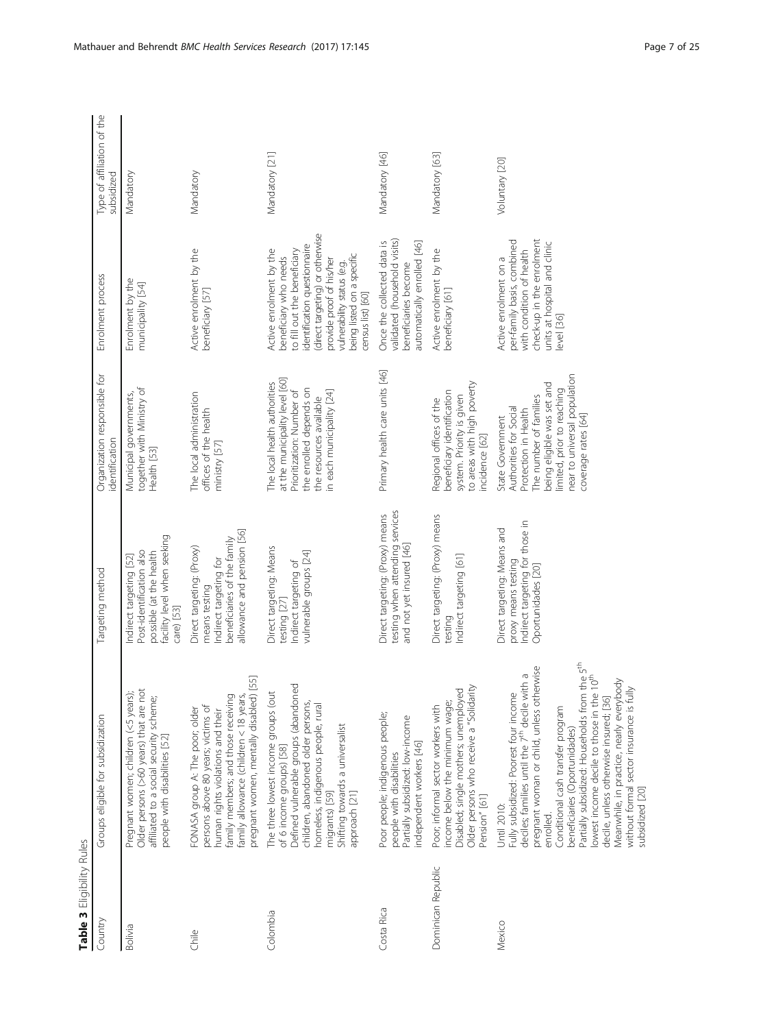<span id="page-6-0"></span>

| Table 3 Eligibility Rules |                                                                                                                                                                                                                                                                                                                                                                                                                                                                                                                                    |                                                                                                                                  |                                                                                                                                                                                                                 |                                                                                                                                                                                                                                                                 |                                          |
|---------------------------|------------------------------------------------------------------------------------------------------------------------------------------------------------------------------------------------------------------------------------------------------------------------------------------------------------------------------------------------------------------------------------------------------------------------------------------------------------------------------------------------------------------------------------|----------------------------------------------------------------------------------------------------------------------------------|-----------------------------------------------------------------------------------------------------------------------------------------------------------------------------------------------------------------|-----------------------------------------------------------------------------------------------------------------------------------------------------------------------------------------------------------------------------------------------------------------|------------------------------------------|
| Country                   | Groups eligible for subsidization                                                                                                                                                                                                                                                                                                                                                                                                                                                                                                  | Targeting method                                                                                                                 | Organization responsible for<br>identification                                                                                                                                                                  | Enrolment process                                                                                                                                                                                                                                               | Type of affiliation of the<br>subsidized |
| Bolivia                   | Pregnant women; children (<5 years);<br>Older persons (>60 years) that are not<br>affiliated to a social security scheme;<br>people with disabilities [52]                                                                                                                                                                                                                                                                                                                                                                         | facility level when seeking<br>Post-identification also<br>possible (at the health<br>Indirect targeting [52]<br>care) [53]      | together with Ministry of<br>Municipal governments,<br>Health [53]                                                                                                                                              | Enrolment by the<br>municipality [54]                                                                                                                                                                                                                           | Mandatory                                |
| <b>Chile</b>              | $[55]$<br>family allowance (children < 18 years,<br>pregnant women, mentally disabled)<br>family members; and those receiving<br>persons above 80 years; victims of<br>FONASA group A: The poor; older<br>numan rights violations and their                                                                                                                                                                                                                                                                                        | allowance and pension [56]<br>beneficiaries of the family<br>Direct targeting: (Proxy)<br>ndirect targeting for<br>means testing | The local administration<br>offices of the health<br>ministry [57]                                                                                                                                              | Active enrolment by the<br>beneficiary [57]                                                                                                                                                                                                                     | Mandatory                                |
| Colombia                  | Defined vulnerable groups (abandoned<br>The three lowest income groups (out<br>children, abandoned older persons,<br>homeless, indigenous people, rural<br>Shifting towards a universalist<br>of 6 income groups) [58]<br>migrants) [59]<br>approach [21]                                                                                                                                                                                                                                                                          | Direct targeting: Means<br>vulnerable groups [24]<br>Indirect targeting of<br>testing [27]                                       | at the municipality level [60]<br>The local health authorities<br>the enrolled depends on<br>Prioritization: Number of<br>in each municipality [24]<br>the resources available                                  | (direct targeting) or otherwise<br>identification questionnaire<br>to fill out the beneficiary<br>Active enrolment by the<br>being listed on a specific<br>beneficiary who needs<br>provide proof of his/her<br>vulnerability status (e.g.<br>census list) [60] | Mandatory [21]                           |
| Costa Rica                | Poor people; indigenous people;<br>Partially subsidized: low-income<br>independent workers [46]<br>people with disabilities                                                                                                                                                                                                                                                                                                                                                                                                        | testing when attending services<br>Direct targeting: (Proxy) means<br>and not yet insured [46]                                   | Primary health care units [46]                                                                                                                                                                                  | validated (household visits)<br>Once the collected data is<br>automatically enrolled [46]<br>beneficiaries become                                                                                                                                               | Mandatory [46]                           |
| Dominican Republic        | Older persons who receive a "Solidarity<br>Disabled; single mothers; unemployed<br>income below the minimum wage;<br>Poor; informal sector workers with<br>Pension" [61]                                                                                                                                                                                                                                                                                                                                                           | Direct targeting: (Proxy) means<br>Indirect targeting [61]<br>testing                                                            | to areas with high poverty<br>beneficiary identification<br>system. Priority is given<br>Regional offices of the<br>ncidence [62]                                                                               | Active enrolment by the<br>beneficiary [61]                                                                                                                                                                                                                     | Mandatory [63]                           |
| Mexico                    | the 5 <sup>th</sup><br>10 <sup>th</sup><br>pregnant woman or child, unless otherwise<br>deciles; families until the 7 <sup>th</sup> decile with a<br>Meanwhile, in practice, nearly everybody<br>without formal sector insurance is fully<br>Fully subsidized: Poorest four income<br>lowest income decile to those in the<br>Partially subsidized: Households from<br>decile, unless otherwise insured; [36]<br>Conditional cash transfer program<br>beneficiaries (Oportunidades)<br>subsidized [20]<br>Until 2010:<br>enrolled. | Indirect targeting for those in<br>Direct targeting: Means and<br>proxy means testing<br>Oportunidades [20]                      | near to universal population<br>being eligible was set and<br>limited, prior to reaching<br>The number of families<br>Authorities for Social<br>Protection in Health<br>coverage rates [64]<br>State Government | check-up in the enrolment<br>per-family basis, combined<br>units at hospital and clinic<br>with condition of health<br>Active enrolment on a<br>evel [36]                                                                                                       | Voluntary [20]                           |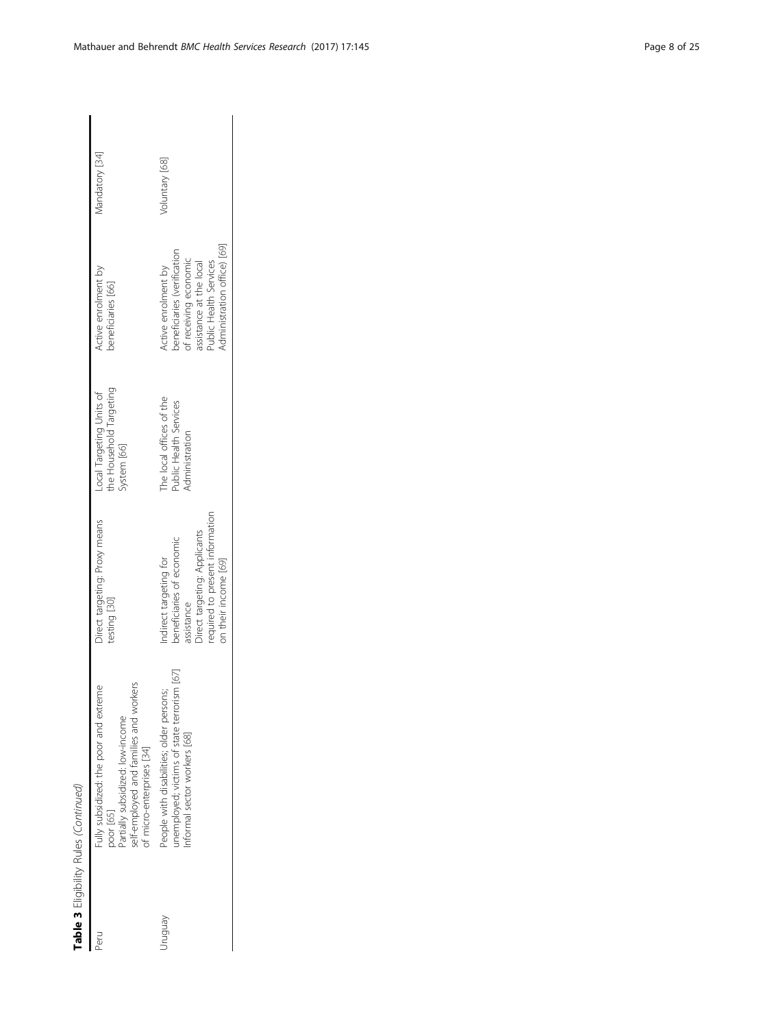| ı      |  |
|--------|--|
|        |  |
|        |  |
|        |  |
|        |  |
| l<br>í |  |
|        |  |
|        |  |
|        |  |
|        |  |
|        |  |
|        |  |
| ۱      |  |
|        |  |
|        |  |
|        |  |

| poor [65]<br>Peru | self-employed and families and workers<br>Fully subsidized: the poor and extreme<br>Partially subsidized: low-income<br>of micro-enterprises [34] | Direct targeting: Proxy means<br>testing [30]                                                                                                                | the Household Targeting<br>Local Targeting Units of<br>system [66]   | Active enrolment by<br>beneficiaries [66]                                                                                                                      | Mandatory [34] |
|-------------------|---------------------------------------------------------------------------------------------------------------------------------------------------|--------------------------------------------------------------------------------------------------------------------------------------------------------------|----------------------------------------------------------------------|----------------------------------------------------------------------------------------------------------------------------------------------------------------|----------------|
| Venbnir           | inemployed; victims of state terrorism [67]<br>People with disabilities; older persons;<br>nformal sector workers [68]                            | required to present information<br>Direct targeting: Applicants<br>beneficiaries of economic<br>Indirect targeting for<br>on their income [69]<br>assistance | The local offices of the<br>Public Health Services<br>Administration | dministration office) [69]<br>peneficiaries (verification<br>of receiving economic<br>assistance at the local<br>Public Health Services<br>Active enrolment by | Voluntary [68] |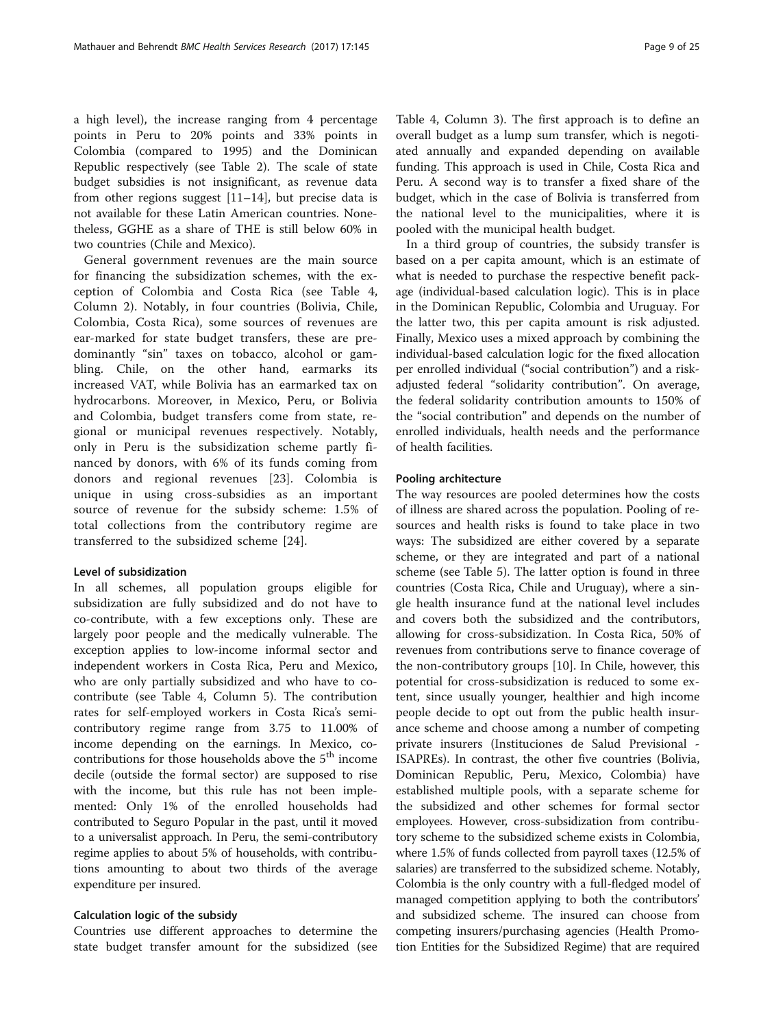a high level), the increase ranging from 4 percentage points in Peru to 20% points and 33% points in Colombia (compared to 1995) and the Dominican Republic respectively (see Table [2](#page-5-0)). The scale of state budget subsidies is not insignificant, as revenue data from other regions suggest  $[11–14]$  $[11–14]$  $[11–14]$  $[11–14]$ , but precise data is not available for these Latin American countries. Nonetheless, GGHE as a share of THE is still below 60% in two countries (Chile and Mexico).

General government revenues are the main source for financing the subsidization schemes, with the exception of Colombia and Costa Rica (see Table [4](#page-9-0), Column 2). Notably, in four countries (Bolivia, Chile, Colombia, Costa Rica), some sources of revenues are ear-marked for state budget transfers, these are predominantly "sin" taxes on tobacco, alcohol or gambling. Chile, on the other hand, earmarks its increased VAT, while Bolivia has an earmarked tax on hydrocarbons. Moreover, in Mexico, Peru, or Bolivia and Colombia, budget transfers come from state, regional or municipal revenues respectively. Notably, only in Peru is the subsidization scheme partly financed by donors, with 6% of its funds coming from donors and regional revenues [\[23](#page-22-0)]. Colombia is unique in using cross-subsidies as an important source of revenue for the subsidy scheme: 1.5% of total collections from the contributory regime are transferred to the subsidized scheme [[24\]](#page-22-0).

#### Level of subsidization

In all schemes, all population groups eligible for subsidization are fully subsidized and do not have to co-contribute, with a few exceptions only. These are largely poor people and the medically vulnerable. The exception applies to low-income informal sector and independent workers in Costa Rica, Peru and Mexico, who are only partially subsidized and who have to cocontribute (see Table [4,](#page-9-0) Column 5). The contribution rates for self-employed workers in Costa Rica's semicontributory regime range from 3.75 to 11.00% of income depending on the earnings. In Mexico, cocontributions for those households above the  $5^{\rm th}$  income decile (outside the formal sector) are supposed to rise with the income, but this rule has not been implemented: Only 1% of the enrolled households had contributed to Seguro Popular in the past, until it moved to a universalist approach. In Peru, the semi-contributory regime applies to about 5% of households, with contributions amounting to about two thirds of the average expenditure per insured.

### Calculation logic of the subsidy

Countries use different approaches to determine the state budget transfer amount for the subsidized (see

Table [4,](#page-9-0) Column 3). The first approach is to define an overall budget as a lump sum transfer, which is negotiated annually and expanded depending on available funding. This approach is used in Chile, Costa Rica and Peru. A second way is to transfer a fixed share of the budget, which in the case of Bolivia is transferred from the national level to the municipalities, where it is pooled with the municipal health budget.

In a third group of countries, the subsidy transfer is based on a per capita amount, which is an estimate of what is needed to purchase the respective benefit package (individual-based calculation logic). This is in place in the Dominican Republic, Colombia and Uruguay. For the latter two, this per capita amount is risk adjusted. Finally, Mexico uses a mixed approach by combining the individual-based calculation logic for the fixed allocation per enrolled individual ("social contribution") and a riskadjusted federal "solidarity contribution". On average, the federal solidarity contribution amounts to 150% of the "social contribution" and depends on the number of enrolled individuals, health needs and the performance of health facilities.

#### Pooling architecture

The way resources are pooled determines how the costs of illness are shared across the population. Pooling of resources and health risks is found to take place in two ways: The subsidized are either covered by a separate scheme, or they are integrated and part of a national scheme (see Table [5](#page-11-0)). The latter option is found in three countries (Costa Rica, Chile and Uruguay), where a single health insurance fund at the national level includes and covers both the subsidized and the contributors, allowing for cross-subsidization. In Costa Rica, 50% of revenues from contributions serve to finance coverage of the non-contributory groups [\[10](#page-21-0)]. In Chile, however, this potential for cross-subsidization is reduced to some extent, since usually younger, healthier and high income people decide to opt out from the public health insurance scheme and choose among a number of competing private insurers (Instituciones de Salud Previsional - ISAPREs). In contrast, the other five countries (Bolivia, Dominican Republic, Peru, Mexico, Colombia) have established multiple pools, with a separate scheme for the subsidized and other schemes for formal sector employees. However, cross-subsidization from contributory scheme to the subsidized scheme exists in Colombia, where 1.5% of funds collected from payroll taxes (12.5% of salaries) are transferred to the subsidized scheme. Notably, Colombia is the only country with a full-fledged model of managed competition applying to both the contributors' and subsidized scheme. The insured can choose from competing insurers/purchasing agencies (Health Promotion Entities for the Subsidized Regime) that are required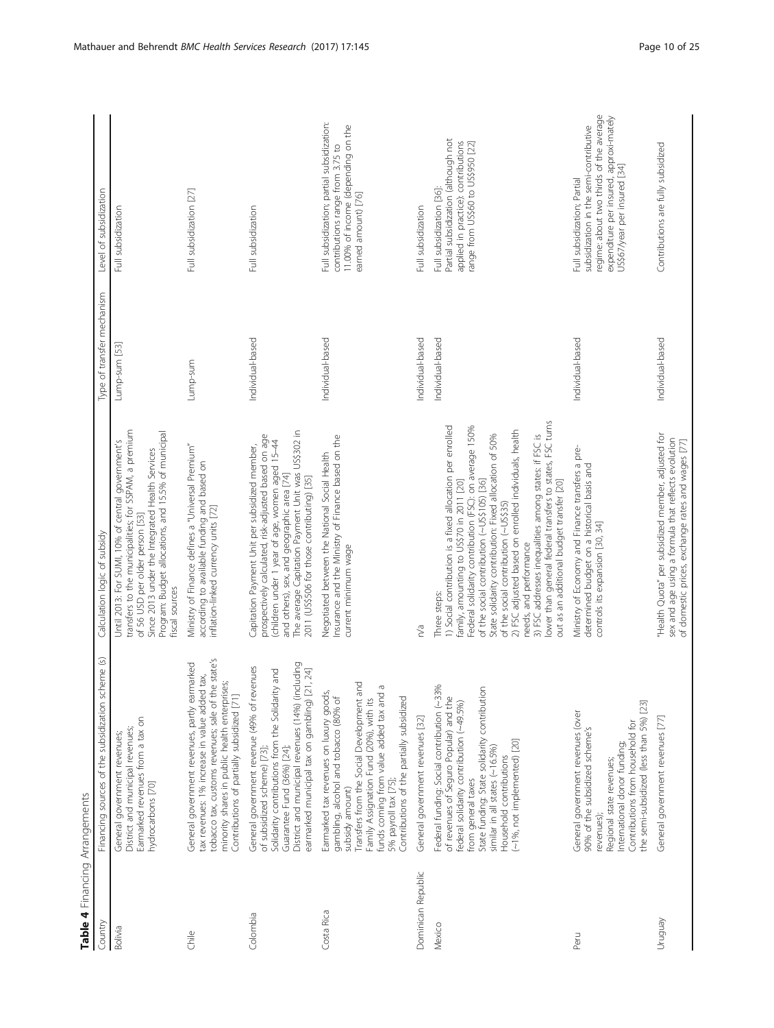<span id="page-9-0"></span>

| Table 4 Financing Arrangements |                                                                                                                                                                                                                                                                                                                |                                                                                                                                                                                                                                                                                                                                                                                                                                                                                                                                                                                       |                            |                                                                                                                                                                                             |
|--------------------------------|----------------------------------------------------------------------------------------------------------------------------------------------------------------------------------------------------------------------------------------------------------------------------------------------------------------|---------------------------------------------------------------------------------------------------------------------------------------------------------------------------------------------------------------------------------------------------------------------------------------------------------------------------------------------------------------------------------------------------------------------------------------------------------------------------------------------------------------------------------------------------------------------------------------|----------------------------|---------------------------------------------------------------------------------------------------------------------------------------------------------------------------------------------|
| Country                        | Financing sources of the subsidization scheme (s)                                                                                                                                                                                                                                                              | Calculation logic of subsidy                                                                                                                                                                                                                                                                                                                                                                                                                                                                                                                                                          | Type of transfer mechanism | Level of subsidization                                                                                                                                                                      |
| <b>Bolivia</b>                 | Earmarked revenues from a tax on<br>District and municipal revenues;<br>General government revenues;<br>hydrocarbons [70]                                                                                                                                                                                      | transfers to the municipalities; for SSPAM, a premium<br>Program: Budget allocations, and 15.5% of municipal<br>Until 2013: For SUMI, 10% of central government's<br>Since 2013 under the Integrated Health Services<br>of 56 USD per older person [53]<br>fiscal sources                                                                                                                                                                                                                                                                                                             | Lump-sum [53]              | Full subsidization                                                                                                                                                                          |
| Chile                          | tobacco tax, customs revenues; sale of the state's<br>General government revenues, partly earmarked<br>tax revenues: 1% increase in value added tax,<br>minority shares in public health enterprises;<br>Contributions of partially subsidized [71]                                                            | Ministry of Finance defines a "Universal Premium"<br>according to available funding and based on<br>inflation-linked currency units [72]                                                                                                                                                                                                                                                                                                                                                                                                                                              | Lump-sum                   | Full subsidization [27]                                                                                                                                                                     |
| Colombia                       | District and municipal revenues (14%) (including<br>General government revenue (49% of revenues<br>earmarked municipal tax on gambling) [21, 24]<br>Solidarity contributions from the Solidarity and<br>Guarantee Fund (36%) [24];<br>of subsidized scheme) [73];                                              | The average Capitation Payment Unit was US\$302 in<br>prospectively calculated, risk-adjusted based on age<br>(children under 1 year of age, women aged 15-44<br>Capitation Payment Unit per subsidized member,<br>and others), sex, and geographic area [74]<br>2011 (US\$506 for those contributing) [35]                                                                                                                                                                                                                                                                           | Individual-based           | Full subsidization                                                                                                                                                                          |
| Costa Rica                     | Transfers from the Social Development and<br>Ō<br>Earmarked tax revenues on luxury goods,<br>funds coming from value added tax and<br>gambling, alcohol and tobacco (80% of<br>Contributions of the partially subsidized<br>Family Assignation Fund (20%), with its<br>5% payroll tax [75];<br>subsidy amount) | Insurance and the Ministry of Finance based on the<br>Negotiated between the National Social Health<br>current minimum wage                                                                                                                                                                                                                                                                                                                                                                                                                                                           | Individual-based           | Full subsidization; partial subsidization:<br>11.00% of income (depending on the<br>contributions range from 3.75 to<br>earned amount) [76]                                                 |
| Dominican Republic             | General government revenues [32]                                                                                                                                                                                                                                                                               | n/a                                                                                                                                                                                                                                                                                                                                                                                                                                                                                                                                                                                   | Individual-based           | Full subsidization                                                                                                                                                                          |
| Mexico                         | Federal funding: Social contribution (~33%<br>State funding: State solidarity contribution<br>of revenues of Seguro Popular) and the<br>federal solidarity contribution (~49.5%)<br>(~1%, not implemented) [20]<br>similar in all states (~16.5%)<br>Household contributions<br>from general taxes             | lower than general federal transfers to states, FSC turns<br>1) Social contribution is a fixed allocation per enrolled<br>Federal solidarity contribution (FSC): on average 150%<br>2) FSC adjusted based on enrolled individuals, health<br>State solidarity contribution: Fixed allocation of 50%<br>3) FSC addresses inequalities among states: if FSC is<br>family, amounting to US\$70 in 2011 [20]<br>out as an additional budget transfer [20]<br>of the social contribution (~US\$105) [36]<br>of the social contribution (~US\$35)<br>needs, and performance<br>Three steps: | Individual-based           | Partial subsidization (although not<br>applied in practice): contributions<br>range from US\$60 to US\$950 [22]<br>Full subsidization [36]:                                                 |
| Peru                           | the semi-subsidized (less than 5%) [23]<br>General government revenues (over<br>Contributions from household for<br>90% of the subsidized scheme's<br>International donor funding;<br>Regional state revenues;<br>revenues);                                                                                   | Ministry of Economy and Finance transfers a pre-<br>determined budget on a historical basis and<br>controls its expansion [30, 34]                                                                                                                                                                                                                                                                                                                                                                                                                                                    | Individual-based           | regime: about two thirds of the average<br>expenditure per insured, approxi-mately<br>subsidization in the semi-contributive<br>US\$67/year per insured [34]<br>Full subsidization; Partial |
| Ven6nun                        | General government revenues [77]                                                                                                                                                                                                                                                                               | "Health Quota" per subsidized member, adjusted for<br>sex and age using a formula that reflects evolution<br>of domestic prices, exchange rates and wages [77]                                                                                                                                                                                                                                                                                                                                                                                                                        | Individual-based           | Contributions are fully subsidized                                                                                                                                                          |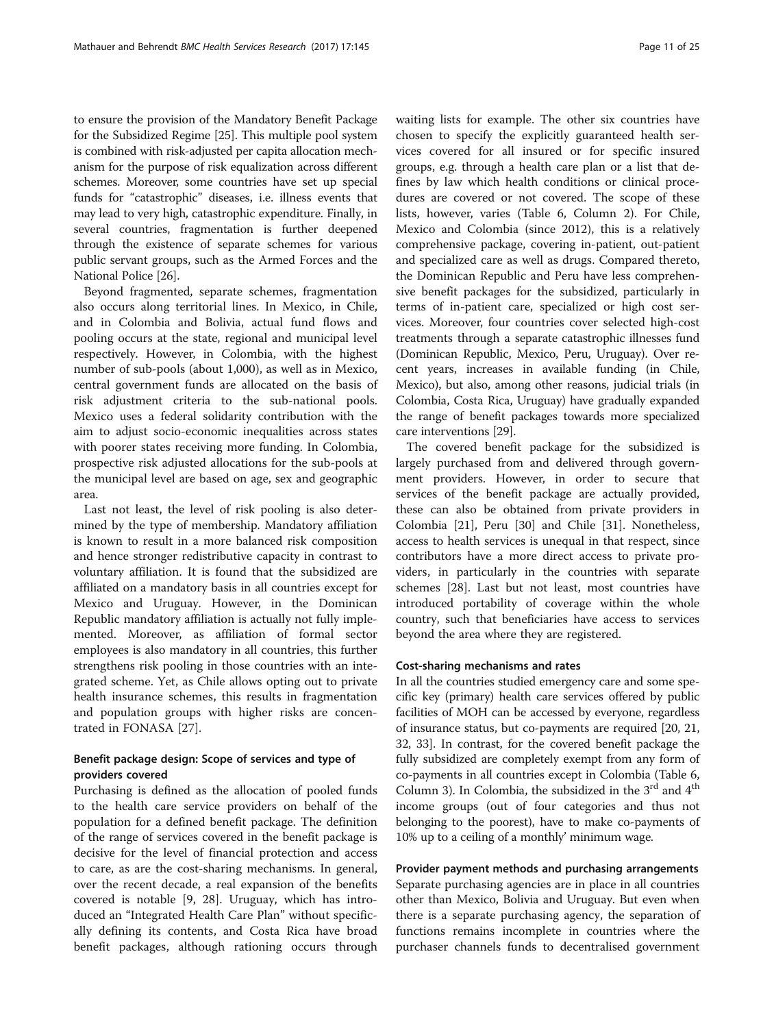to ensure the provision of the Mandatory Benefit Package for the Subsidized Regime [\[25\]](#page-22-0). This multiple pool system is combined with risk-adjusted per capita allocation mechanism for the purpose of risk equalization across different schemes. Moreover, some countries have set up special funds for "catastrophic" diseases, i.e. illness events that may lead to very high, catastrophic expenditure. Finally, in several countries, fragmentation is further deepened through the existence of separate schemes for various public servant groups, such as the Armed Forces and the National Police [\[26](#page-22-0)].

Beyond fragmented, separate schemes, fragmentation also occurs along territorial lines. In Mexico, in Chile, and in Colombia and Bolivia, actual fund flows and pooling occurs at the state, regional and municipal level respectively. However, in Colombia, with the highest number of sub-pools (about 1,000), as well as in Mexico, central government funds are allocated on the basis of risk adjustment criteria to the sub-national pools. Mexico uses a federal solidarity contribution with the aim to adjust socio-economic inequalities across states with poorer states receiving more funding. In Colombia, prospective risk adjusted allocations for the sub-pools at the municipal level are based on age, sex and geographic area.

Last not least, the level of risk pooling is also determined by the type of membership. Mandatory affiliation is known to result in a more balanced risk composition and hence stronger redistributive capacity in contrast to voluntary affiliation. It is found that the subsidized are affiliated on a mandatory basis in all countries except for Mexico and Uruguay. However, in the Dominican Republic mandatory affiliation is actually not fully implemented. Moreover, as affiliation of formal sector employees is also mandatory in all countries, this further strengthens risk pooling in those countries with an integrated scheme. Yet, as Chile allows opting out to private health insurance schemes, this results in fragmentation and population groups with higher risks are concentrated in FONASA [[27\]](#page-22-0).

### Benefit package design: Scope of services and type of providers covered

Purchasing is defined as the allocation of pooled funds to the health care service providers on behalf of the population for a defined benefit package. The definition of the range of services covered in the benefit package is decisive for the level of financial protection and access to care, as are the cost-sharing mechanisms. In general, over the recent decade, a real expansion of the benefits covered is notable [[9,](#page-21-0) [28\]](#page-22-0). Uruguay, which has introduced an "Integrated Health Care Plan" without specifically defining its contents, and Costa Rica have broad benefit packages, although rationing occurs through waiting lists for example. The other six countries have chosen to specify the explicitly guaranteed health services covered for all insured or for specific insured groups, e.g. through a health care plan or a list that defines by law which health conditions or clinical procedures are covered or not covered. The scope of these lists, however, varies (Table [6,](#page-13-0) Column 2). For Chile, Mexico and Colombia (since 2012), this is a relatively comprehensive package, covering in-patient, out-patient and specialized care as well as drugs. Compared thereto, the Dominican Republic and Peru have less comprehensive benefit packages for the subsidized, particularly in terms of in-patient care, specialized or high cost services. Moreover, four countries cover selected high-cost treatments through a separate catastrophic illnesses fund (Dominican Republic, Mexico, Peru, Uruguay). Over recent years, increases in available funding (in Chile, Mexico), but also, among other reasons, judicial trials (in Colombia, Costa Rica, Uruguay) have gradually expanded the range of benefit packages towards more specialized care interventions [\[29\]](#page-22-0).

The covered benefit package for the subsidized is largely purchased from and delivered through government providers. However, in order to secure that services of the benefit package are actually provided, these can also be obtained from private providers in Colombia [\[21](#page-22-0)], Peru [\[30](#page-22-0)] and Chile [\[31](#page-22-0)]. Nonetheless, access to health services is unequal in that respect, since contributors have a more direct access to private providers, in particularly in the countries with separate schemes [\[28\]](#page-22-0). Last but not least, most countries have introduced portability of coverage within the whole country, such that beneficiaries have access to services beyond the area where they are registered.

#### Cost-sharing mechanisms and rates

In all the countries studied emergency care and some specific key (primary) health care services offered by public facilities of MOH can be accessed by everyone, regardless of insurance status, but co-payments are required [\[20, 21](#page-22-0), [32](#page-22-0), [33](#page-22-0)]. In contrast, for the covered benefit package the fully subsidized are completely exempt from any form of co-payments in all countries except in Colombia (Table [6](#page-13-0), Column 3). In Colombia, the subsidized in the  $3<sup>rd</sup>$  and  $4<sup>th</sup>$ income groups (out of four categories and thus not belonging to the poorest), have to make co-payments of 10% up to a ceiling of a monthly' minimum wage.

Provider payment methods and purchasing arrangements Separate purchasing agencies are in place in all countries other than Mexico, Bolivia and Uruguay. But even when there is a separate purchasing agency, the separation of functions remains incomplete in countries where the purchaser channels funds to decentralised government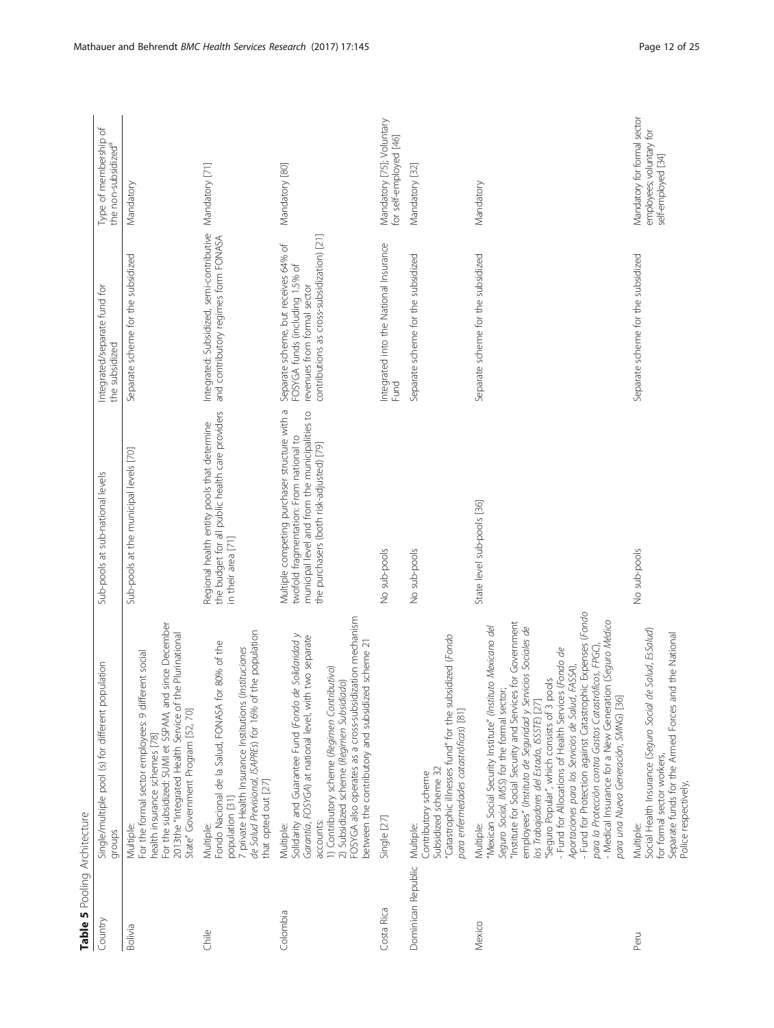<span id="page-11-0"></span>

| Table 5 Pooling Architecture |                                                                                                                                                                                                                                                                                                                                                                                                                                                                                                                                                                                                                                                                                         |                                                                                                                                                                                        |                                                                                                                                                      |                                                                               |
|------------------------------|-----------------------------------------------------------------------------------------------------------------------------------------------------------------------------------------------------------------------------------------------------------------------------------------------------------------------------------------------------------------------------------------------------------------------------------------------------------------------------------------------------------------------------------------------------------------------------------------------------------------------------------------------------------------------------------------|----------------------------------------------------------------------------------------------------------------------------------------------------------------------------------------|------------------------------------------------------------------------------------------------------------------------------------------------------|-------------------------------------------------------------------------------|
| Country                      | Single/multiple pool (s) for different population<br>dronbs                                                                                                                                                                                                                                                                                                                                                                                                                                                                                                                                                                                                                             | Sub-pools at sub-national levels                                                                                                                                                       | Integrated/separate fund for<br>the subsidized                                                                                                       | Type of membership of<br>the non-subsidized <sup>a</sup>                      |
| Bolivia                      | For the subsidized: SUMI et SSPAM, and since December<br>2013the "Integrated Health Service of the Plurinational<br>For the formal sector employees: 9 different social<br>State" Government Program [52, 70]<br>health insurance schemes [78]<br>Multiple:                                                                                                                                                                                                                                                                                                                                                                                                                             | Sub-pools at the municipal levels [70]                                                                                                                                                 | Separate scheme for the subsidized                                                                                                                   | Mandatory                                                                     |
| Chile                        | the population<br>Fondo Nacional de la Salud, FONASA for 80% of the<br>7 private Health Insurance Institutions (Instituciones<br>de Salud Previsional, ISAPREs) for 16% of<br>that opted out [27]<br>population [31]<br>Multiple:                                                                                                                                                                                                                                                                                                                                                                                                                                                       | the budget for all public health care providers<br>Regional health entity pools that determine<br>in their area [71]                                                                   | Integrated: Subsidized, semi-contributive Mandatory [71]<br>and contributory regimes form FONASA                                                     |                                                                               |
| Colombia                     | FOSYGA also operates as a cross-subsidization mechanism<br>Solidarity and Guarantee Fund (Fondo de Solidaridad y<br>two separate<br>between the contributory and subsidized scheme 21<br>1) Contributory scheme (Regimen Contributivo)<br>2) Subsidized scheme (Regimen Subsidiado)<br>Garantía, FOSYGA) at national level, with<br>accounts:<br>Multiple:                                                                                                                                                                                                                                                                                                                              | Multiple competing purchaser structure with a<br>municipal level and from the municipalities to<br>twofold fragmentation: From national to<br>the purchasers (both risk-adjusted) [79] | contributions as cross-subsidization) [21]<br>Separate scheme, but receives 64% of<br>FOSYGA funds (including 1.5% of<br>revenues from formal sector | Mandatory [80]                                                                |
| Costa Rica                   | Single [27]                                                                                                                                                                                                                                                                                                                                                                                                                                                                                                                                                                                                                                                                             | No sub-pools                                                                                                                                                                           | Integrated into the National Insurance<br>Fund                                                                                                       | Mandatory [75]; Voluntary<br>for self-employed [46]                           |
| Dominican Republic           | "Catastrophic illnesses fund" for the subsidized (Fondo<br>para enfermedades catastróficas) [81]<br>Subsidized scheme 32<br>Contributory scheme<br>Multiple:                                                                                                                                                                                                                                                                                                                                                                                                                                                                                                                            | No sub-pools                                                                                                                                                                           | Separate scheme for the subsidized                                                                                                                   | Mandatory [32]                                                                |
| Mexico                       | - Fund for Protection against Catastrophic Expenses (Fondo<br>- Medical Insurance for a New Generation (Seguro Médico<br>"Institute for Social Security and Services for Government<br>'Mexican Social Security Institute" (Instituto Mexicano del<br>employees" (Instituto de Seguridad y Servicios Sociales de<br>para la Protección contra Gastos Catastróficos, FPGC)<br>- Fund for Allocations of Health Services (Fondo de<br>FASSA),<br>"Seguro Popular", which consists of 3 pools<br>Seguro Social, IMSS) for the formal sector<br>Aportaciones para los Servicios de Salud,<br>para una Nueva Generación, SMNG) [36]<br>los Trabajadores del Estado, ISSTE) [27]<br>Multiple: | State level sub-pools [36]                                                                                                                                                             | Separate scheme for the subsidized                                                                                                                   | Mandatory                                                                     |
| Peru                         | Salud, EsSalud)<br>Separate funds for the Armed Forces and the National<br>Social Health Insurance (Seguro Social de<br>for formal sector workers,<br>Police respectively,<br>Multiple:                                                                                                                                                                                                                                                                                                                                                                                                                                                                                                 | No sub-pools                                                                                                                                                                           | Separate scheme for the subsidized                                                                                                                   | Mandatory for formal sector<br>employees; voluntary for<br>self-employed [34] |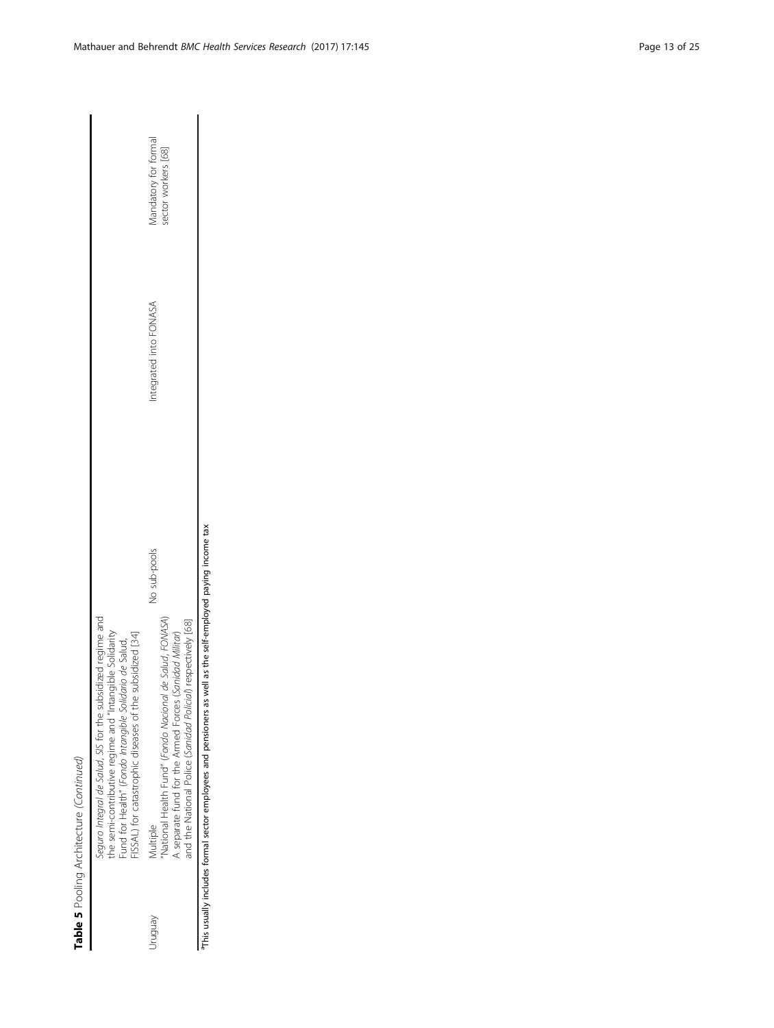| l<br>١                     |
|----------------------------|
| I<br>J<br>;<br>J<br>i<br>I |
| י<br>יוני ה<br>١<br>١      |
| ī                          |

|                | Seguro Integral de Salud, SIS for the subsidized regime and<br>the semi-contributive regime and "Intangible Solidarity<br>ISSAL) for catastrophic diseases of the subsidized [34]<br>und for Health" (Fondo Intangible Solidario de Salud, |              |                       |                                             |
|----------------|--------------------------------------------------------------------------------------------------------------------------------------------------------------------------------------------------------------------------------------------|--------------|-----------------------|---------------------------------------------|
| <i>Aenbnur</i> | National Health Fund" (Fondo Nacional de Salud, FONASA)<br>and the National Police (Sanidad Policial) respectively [68]<br>A separate fund for the Armed Forces (Sanidad Militar)<br>Aultiple                                              | No sub-pools | ntegrated into FONASA | Mandatory for formal<br>sector workers [68] |
|                | This usually includes formal sector employees and pensioners as well as the self-employed paying income tax                                                                                                                                |              |                       |                                             |

 $\begin{array}{c} \hline \end{array}$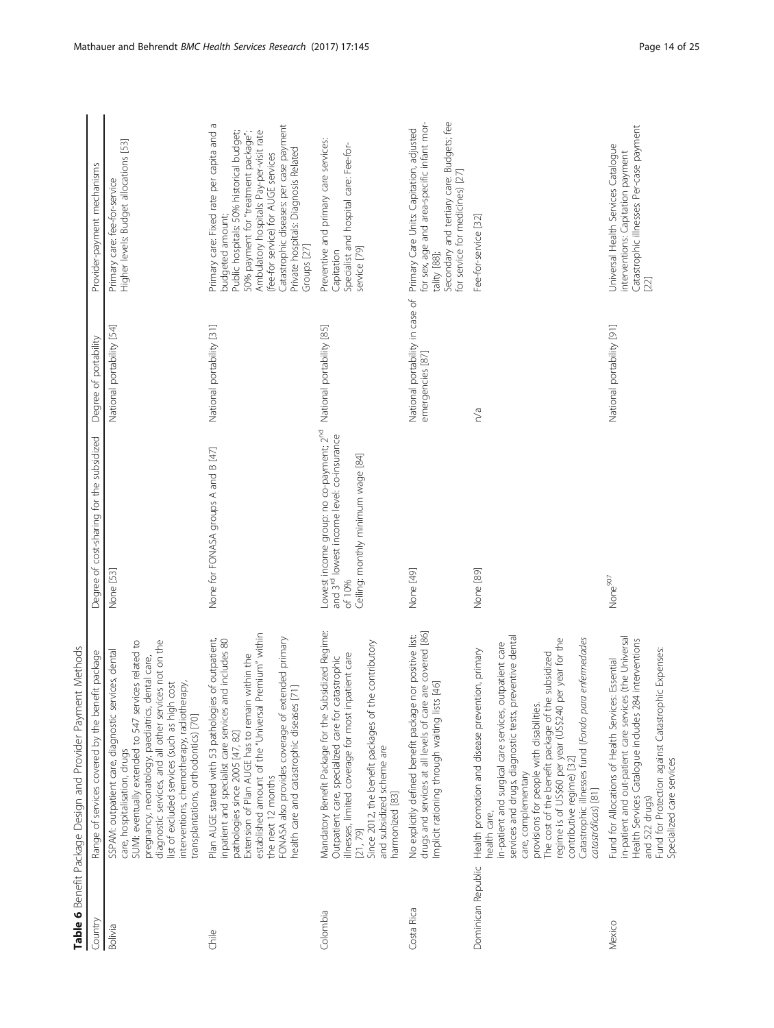<span id="page-13-0"></span>

|                    | Table 6 Benefit Package Design and Provider Payment Methods                                                                                                                                                                                                                                                                                                                                                                                                                            |                                                                                                                                                              |                                                     |                                                                                                                                                                                                                                                                                                                                        |
|--------------------|----------------------------------------------------------------------------------------------------------------------------------------------------------------------------------------------------------------------------------------------------------------------------------------------------------------------------------------------------------------------------------------------------------------------------------------------------------------------------------------|--------------------------------------------------------------------------------------------------------------------------------------------------------------|-----------------------------------------------------|----------------------------------------------------------------------------------------------------------------------------------------------------------------------------------------------------------------------------------------------------------------------------------------------------------------------------------------|
| Country            | Range of services covered by the benefit package                                                                                                                                                                                                                                                                                                                                                                                                                                       | Degree of cost-sharing for the subsidized                                                                                                                    | Degree of portability                               | Provider-payment mechanisms                                                                                                                                                                                                                                                                                                            |
| Bolivia            | SUMI: eventually extended to 547 services related to<br>diagnostic services, and all other services not on the<br>SSPAM: outpatient care, diagnostic services, dental<br>pregnancy, neonatology, paediatrics, dental care,<br>list of excluded services (such as high cost<br>interventions, chemotherapy, radiotherapy,<br>transplantations, orthodontics) [70]<br>care, hospitalisation, drugs                                                                                       | None [53]                                                                                                                                                    | National portability [54]                           | Higher levels: Budget allocations [53]<br>Primary care: fee-for-service                                                                                                                                                                                                                                                                |
| Chile              | established amount of the "Universal Premium" within<br>Plan AUGE started with 53 pathologies of outpatient,<br>inpatient and specialist care services and includes 80<br>FONASA also provides coverage of extended primary<br>health care and catastrophic diseases [71]<br>Extension of Plan AUGE has to remain within the<br>pathologies since 2005 [47, 82]<br>the next 12 months                                                                                                  | None for FONASA groups A and B [47]                                                                                                                          | National portability [31]                           | Primary care: Fixed rate per capita and a<br>Catastrophic diseases: per case payment<br>Ambulatory hospitals: Pay-per-visit rate<br>Public hospitals: 50% historical budget;<br>50% payment for "treatment package";<br>Private hospitals: Diagnosis Related<br>(fee-for service) for AUGE services<br>budgeted amount;<br>Groups [27] |
| Colombia           | Mandatory Benefit Package for the Subsidized Regime:<br>contributory<br>illnesses, limited coverage for most inpatient care<br>Outpatient care, specialized care for catastrophic<br>Since 2012, the benefit packages of the<br>and subsidized scheme are<br>harmonized [83]<br>[21, 79]                                                                                                                                                                                               | Lowest income group: no co-payment; 2 <sup>nd</sup><br>and 3 <sup>rd</sup> lowest income level: co-insurance<br>Ceiling: monthly minimum wage [84]<br>of 10% | National portability [85]                           | Preventive and primary care services:<br>Specialist and hospital care: Fee-for-<br>service [79]<br>Capitation                                                                                                                                                                                                                          |
| Costa Rica         | drugs and services at all levels of care are covered [86]<br>No explicitly defined benefit package nor positive list:<br>Implicit rationing through waiting lists [46]                                                                                                                                                                                                                                                                                                                 | None [49]                                                                                                                                                    | National portability in case of<br>emergencies [87] | Secondary and tertiary care: Budgets; fee<br>for sex, age and area-specific infant mor-<br>Primary Care Units: Capitation, adjusted<br>for service for medicines) [27]<br>tality [88];                                                                                                                                                 |
| Dominican Republic | services and drugs, diagnostic tests, preventive dental<br>regime is of US\$60 per year (US\$240 per year for the<br>enfermedades<br>in-patient and surgical care services, outpatient care<br>Health promotion and disease prevention, primary<br>The cost of the benefit package of the subsidized<br>Catastrophic illnesses fund (Fondo para<br>provisions for people with disabilities.<br>contributive regime) [32]<br>care, complementary<br>catastróficas) [81]<br>health care, | None [89]                                                                                                                                                    | n/a                                                 | Fee-for-service [32]                                                                                                                                                                                                                                                                                                                   |
| Mexico             | (the Universal<br>interventions<br>Fund for Protection against Catastrophic Expenses:<br>Essential<br>in-patient and out-patient care services<br>Health Services Catalogue includes 284<br>Fund for Allocations of Health Services:<br>Specialized care services<br>and 522 drugs)                                                                                                                                                                                                    | None <sup>907</sup>                                                                                                                                          | National portability [91]                           | Catastrophic illnesses: Per-case payment<br>Universal Health Services Catalogue<br>interventions: Capitation payment<br>$[22]$                                                                                                                                                                                                         |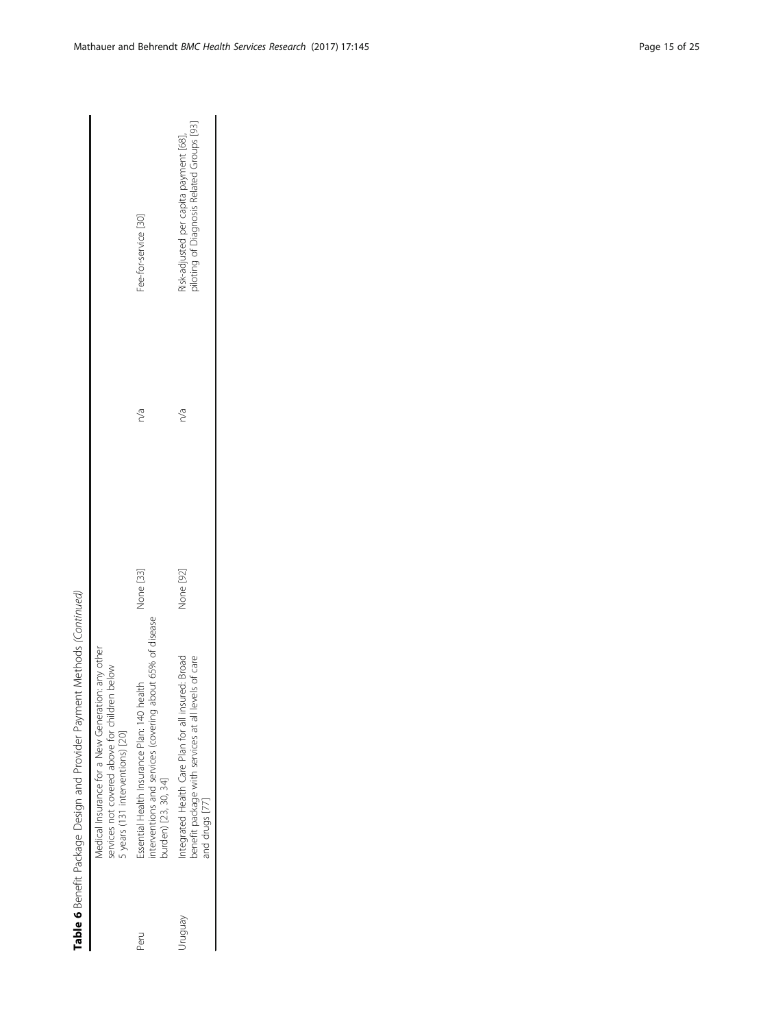|         | Medical Insurance for a New Generation: any other<br>below<br>services not covered above for children<br>5 years (131 interventions) [20] |           |     |                                                                                    |
|---------|-------------------------------------------------------------------------------------------------------------------------------------------|-----------|-----|------------------------------------------------------------------------------------|
| Peru    | nterventions and services (covering about 65% of disease<br>Essential Health Insurance Plan: 140 health<br>ourden) [23, 30, 34]           | None [33] | n/a | ee-for-service [30]                                                                |
| yen bnu | ntegrated Health Care Plan for all insured: Broad<br>benefit package with services at all levels of care<br>and drugs [77]                | Vone [92] | n/a | oiloting of Diagnosis Related Groups [93]<br>isk-adjusted per capita payment [68], |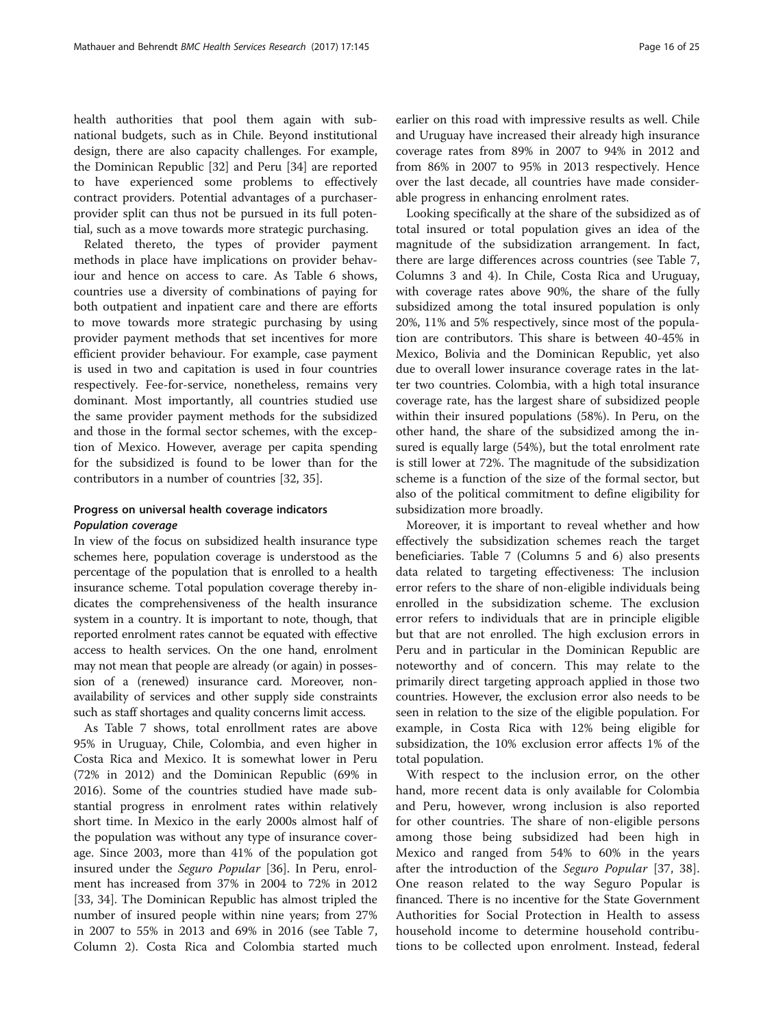health authorities that pool them again with subnational budgets, such as in Chile. Beyond institutional design, there are also capacity challenges. For example, the Dominican Republic [[32](#page-22-0)] and Peru [[34](#page-22-0)] are reported to have experienced some problems to effectively contract providers. Potential advantages of a purchaserprovider split can thus not be pursued in its full poten-

tial, such as a move towards more strategic purchasing.

Related thereto, the types of provider payment methods in place have implications on provider behaviour and hence on access to care. As Table [6](#page-13-0) shows, countries use a diversity of combinations of paying for both outpatient and inpatient care and there are efforts to move towards more strategic purchasing by using provider payment methods that set incentives for more efficient provider behaviour. For example, case payment is used in two and capitation is used in four countries respectively. Fee-for-service, nonetheless, remains very dominant. Most importantly, all countries studied use the same provider payment methods for the subsidized and those in the formal sector schemes, with the exception of Mexico. However, average per capita spending for the subsidized is found to be lower than for the contributors in a number of countries [\[32](#page-22-0), [35](#page-22-0)].

# Progress on universal health coverage indicators

In view of the focus on subsidized health insurance type schemes here, population coverage is understood as the percentage of the population that is enrolled to a health insurance scheme. Total population coverage thereby indicates the comprehensiveness of the health insurance system in a country. It is important to note, though, that reported enrolment rates cannot be equated with effective access to health services. On the one hand, enrolment may not mean that people are already (or again) in possession of a (renewed) insurance card. Moreover, nonavailability of services and other supply side constraints such as staff shortages and quality concerns limit access.

As Table [7](#page-16-0) shows, total enrollment rates are above 95% in Uruguay, Chile, Colombia, and even higher in Costa Rica and Mexico. It is somewhat lower in Peru (72% in 2012) and the Dominican Republic (69% in 2016). Some of the countries studied have made substantial progress in enrolment rates within relatively short time. In Mexico in the early 2000s almost half of the population was without any type of insurance coverage. Since 2003, more than 41% of the population got insured under the Seguro Popular [[36\]](#page-22-0). In Peru, enrolment has increased from 37% in 2004 to 72% in 2012 [[33, 34\]](#page-22-0). The Dominican Republic has almost tripled the number of insured people within nine years; from 27% in 2007 to 55% in 2013 and 69% in 2016 (see Table [7](#page-16-0), Column 2). Costa Rica and Colombia started much

earlier on this road with impressive results as well. Chile and Uruguay have increased their already high insurance coverage rates from 89% in 2007 to 94% in 2012 and from 86% in 2007 to 95% in 2013 respectively. Hence over the last decade, all countries have made considerable progress in enhancing enrolment rates.

Looking specifically at the share of the subsidized as of total insured or total population gives an idea of the magnitude of the subsidization arrangement. In fact, there are large differences across countries (see Table [7](#page-16-0), Columns 3 and 4). In Chile, Costa Rica and Uruguay, with coverage rates above 90%, the share of the fully subsidized among the total insured population is only 20%, 11% and 5% respectively, since most of the population are contributors. This share is between 40-45% in Mexico, Bolivia and the Dominican Republic, yet also due to overall lower insurance coverage rates in the latter two countries. Colombia, with a high total insurance coverage rate, has the largest share of subsidized people within their insured populations (58%). In Peru, on the other hand, the share of the subsidized among the insured is equally large (54%), but the total enrolment rate is still lower at 72%. The magnitude of the subsidization scheme is a function of the size of the formal sector, but also of the political commitment to define eligibility for subsidization more broadly.

Moreover, it is important to reveal whether and how effectively the subsidization schemes reach the target beneficiaries. Table [7](#page-16-0) (Columns 5 and 6) also presents data related to targeting effectiveness: The inclusion error refers to the share of non-eligible individuals being enrolled in the subsidization scheme. The exclusion error refers to individuals that are in principle eligible but that are not enrolled. The high exclusion errors in Peru and in particular in the Dominican Republic are noteworthy and of concern. This may relate to the primarily direct targeting approach applied in those two countries. However, the exclusion error also needs to be seen in relation to the size of the eligible population. For example, in Costa Rica with 12% being eligible for subsidization, the 10% exclusion error affects 1% of the total population.

With respect to the inclusion error, on the other hand, more recent data is only available for Colombia and Peru, however, wrong inclusion is also reported for other countries. The share of non-eligible persons among those being subsidized had been high in Mexico and ranged from 54% to 60% in the years after the introduction of the Seguro Popular [\[37](#page-22-0), [38](#page-22-0)]. One reason related to the way Seguro Popular is financed. There is no incentive for the State Government Authorities for Social Protection in Health to assess household income to determine household contributions to be collected upon enrolment. Instead, federal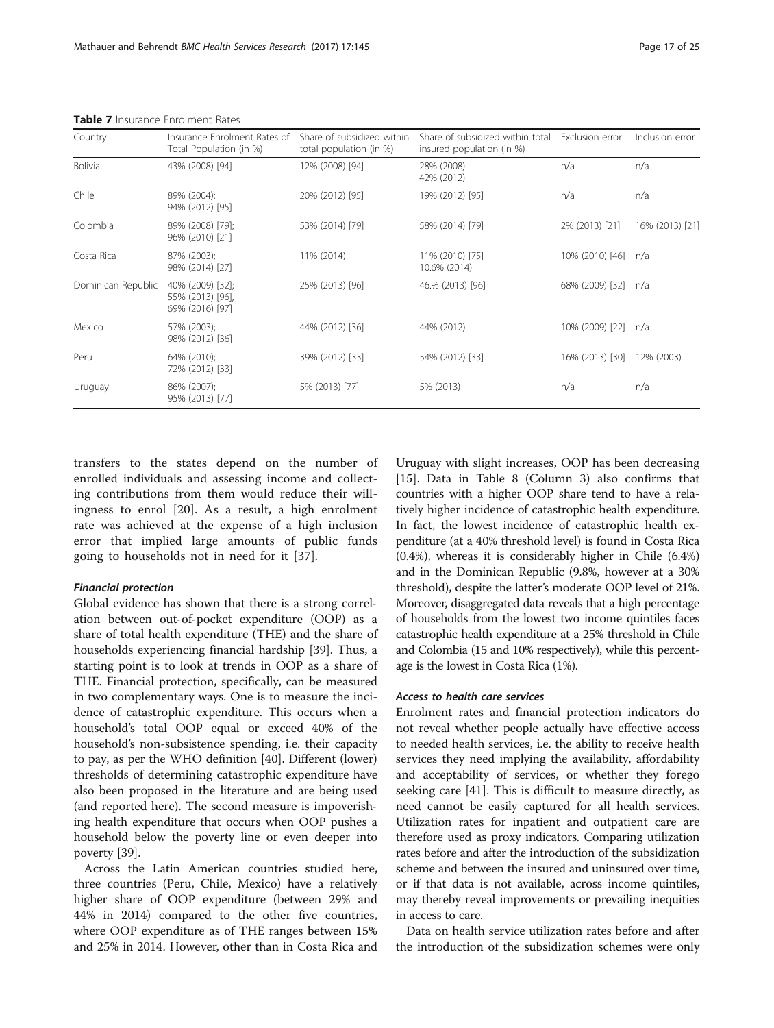| Country            | Insurance Enrolment Rates of<br>Total Population (in %) | Share of subsidized within<br>total population (in %) | Share of subsidized within total<br>insured population (in %) | Exclusion error | Inclusion error |
|--------------------|---------------------------------------------------------|-------------------------------------------------------|---------------------------------------------------------------|-----------------|-----------------|
| <b>Bolivia</b>     | 43% (2008) [94]                                         | 12% (2008) [94]                                       | 28% (2008)<br>42% (2012)                                      | n/a             | n/a             |
| Chile              | 89% (2004);<br>94% (2012) [95]                          | 20% (2012) [95]                                       | 19% (2012) [95]                                               | n/a             | n/a             |
| Colombia           | 89% (2008) [79];<br>96% (2010) [21]                     | 53% (2014) [79]                                       | 58% (2014) [79]                                               | 2% (2013) [21]  | 16% (2013) [21] |
| Costa Rica         | 87% (2003);<br>98% (2014) [27]                          | 11% (2014)                                            | 11% (2010) [75]<br>10.6% (2014)                               | 10% (2010) [46] | n/a             |
| Dominican Republic | 40% (2009) [32];<br>55% (2013) [96],<br>69% (2016) [97] | 25% (2013) [96]                                       | 46.% (2013) [96]                                              | 68% (2009) [32] | n/a             |
| Mexico             | 57% (2003);<br>98% (2012) [36]                          | 44% (2012) [36]                                       | 44% (2012)                                                    | 10% (2009) [22] | n/a             |
| Peru               | 64% (2010);<br>72% (2012) [33]                          | 39% (2012) [33]                                       | 54% (2012) [33]                                               | 16% (2013) [30] | 12% (2003)      |
| Uruguay            | 86% (2007);<br>95% (2013) [77]                          | 5% (2013) [77]                                        | 5% (2013)                                                     | n/a             | n/a             |

<span id="page-16-0"></span>Table 7 Insurance Enrolment Rates

transfers to the states depend on the number of enrolled individuals and assessing income and collecting contributions from them would reduce their willingness to enrol [\[20](#page-22-0)]. As a result, a high enrolment rate was achieved at the expense of a high inclusion error that implied large amounts of public funds going to households not in need for it [\[37](#page-22-0)].

Global evidence has shown that there is a strong correlation between out-of-pocket expenditure (OOP) as a share of total health expenditure (THE) and the share of households experiencing financial hardship [\[39\]](#page-22-0). Thus, a starting point is to look at trends in OOP as a share of THE. Financial protection, specifically, can be measured in two complementary ways. One is to measure the incidence of catastrophic expenditure. This occurs when a household's total OOP equal or exceed 40% of the household's non-subsistence spending, i.e. their capacity to pay, as per the WHO definition [\[40\]](#page-22-0). Different (lower) thresholds of determining catastrophic expenditure have also been proposed in the literature and are being used (and reported here). The second measure is impoverishing health expenditure that occurs when OOP pushes a household below the poverty line or even deeper into poverty [\[39](#page-22-0)].

Across the Latin American countries studied here, three countries (Peru, Chile, Mexico) have a relatively higher share of OOP expenditure (between 29% and 44% in 2014) compared to the other five countries, where OOP expenditure as of THE ranges between 15% and 25% in 2014. However, other than in Costa Rica and

Uruguay with slight increases, OOP has been decreasing [[15\]](#page-21-0). Data in Table [8](#page-17-0) (Column 3) also confirms that countries with a higher OOP share tend to have a relatively higher incidence of catastrophic health expenditure. In fact, the lowest incidence of catastrophic health expenditure (at a 40% threshold level) is found in Costa Rica (0.4%), whereas it is considerably higher in Chile (6.4%) and in the Dominican Republic (9.8%, however at a 30% threshold), despite the latter's moderate OOP level of 21%. Moreover, disaggregated data reveals that a high percentage of households from the lowest two income quintiles faces catastrophic health expenditure at a 25% threshold in Chile and Colombia (15 and 10% respectively), while this percentage is the lowest in Costa Rica (1%).

#### Access to health care services

Enrolment rates and financial protection indicators do not reveal whether people actually have effective access to needed health services, i.e. the ability to receive health services they need implying the availability, affordability and acceptability of services, or whether they forego seeking care [\[41](#page-22-0)]. This is difficult to measure directly, as need cannot be easily captured for all health services. Utilization rates for inpatient and outpatient care are therefore used as proxy indicators. Comparing utilization rates before and after the introduction of the subsidization scheme and between the insured and uninsured over time, or if that data is not available, across income quintiles, may thereby reveal improvements or prevailing inequities in access to care.

Data on health service utilization rates before and after the introduction of the subsidization schemes were only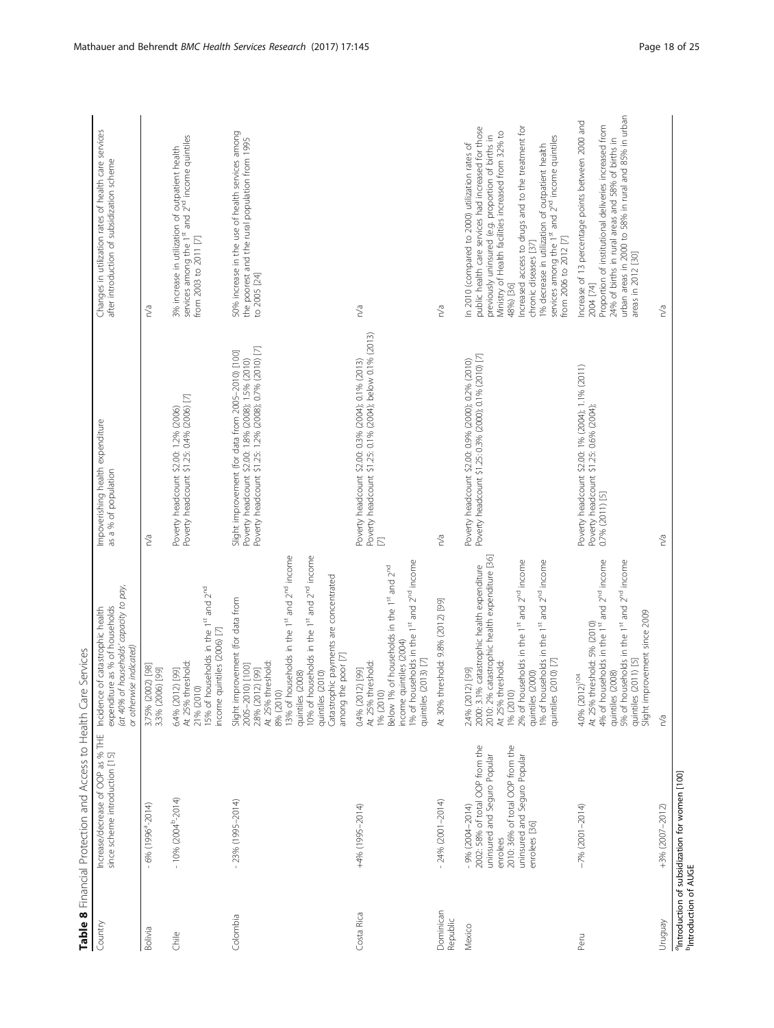<span id="page-17-0"></span>

|                       | <b>CONFIDENT CONTRACTOR CONTRACTS IN THE CONFIDENT OF THE SERVICE SERVICE</b>                                                                                                          |                                                                                                                                                                                                                                                                                                                      |                                                                                                                                                                    |                                                                                                                                                                                                                                                                                                                                                                                                                                                                        |
|-----------------------|----------------------------------------------------------------------------------------------------------------------------------------------------------------------------------------|----------------------------------------------------------------------------------------------------------------------------------------------------------------------------------------------------------------------------------------------------------------------------------------------------------------------|--------------------------------------------------------------------------------------------------------------------------------------------------------------------|------------------------------------------------------------------------------------------------------------------------------------------------------------------------------------------------------------------------------------------------------------------------------------------------------------------------------------------------------------------------------------------------------------------------------------------------------------------------|
| Country               | Increase/decrease of OOP as % THE Incidence of catastrophic health<br>since scheme introduction [15] expenditure as % of households                                                    | (at 40% of households' capacity to pay,<br>expenditure as % of households<br>or otherwise indicated)                                                                                                                                                                                                                 | Impoverishing health expenditure<br>as a % of population                                                                                                           | Changes in utilization rates of health care services<br>after introduction of subsidization scheme                                                                                                                                                                                                                                                                                                                                                                     |
| <b>Bolivia</b>        | $-6%$ (1996 <sup>a</sup> -2014)                                                                                                                                                        | 3.75% (2002) [98]<br>3.3% (2006) [99]                                                                                                                                                                                                                                                                                | n/a                                                                                                                                                                | n/a                                                                                                                                                                                                                                                                                                                                                                                                                                                                    |
| $rac{e}{\sqrt{2}}$    | $-10%$ (2004 <sup>b</sup> -2014)                                                                                                                                                       | 15% of households in the 1st and 2nd<br>income quintiles (2006) [7]<br>At 25% threshold:<br>5.4% (2012) [99]<br>21% (2010)                                                                                                                                                                                           | Poverty headcount \$1.25: 0.4% (2006) [7]<br>Poverty headcount \$2.00: 1.2% (2006)                                                                                 | 3% increase in utilization of outpatient health<br>services among the $1st$ and $2nd$ income quintiles<br>from 2003 to 2011 [7]                                                                                                                                                                                                                                                                                                                                        |
| Colombia              | $-23%$ (1995-2014)                                                                                                                                                                     | 13% of households in the 1st and 2nd income<br>10% of households in the 1st and 2nd income<br>quintiles (2010)<br>Catastrophic payments are concentrated<br>Slight improvement (for data from<br>among the poor [7]<br>At 25% threshold:<br>2005-2010) [100]<br>2.8% (2012) [99]<br>(2008)<br>8% (2010)<br>quintiles | Poverty headcount \$1.25: 1.2% (2008); 0.7% (2010) [7]<br>Slight improvement (for data from 2005-2010) [100]<br>Poverty headcount \$2.00: 1.8% (2008); 1.5% (2010) | 50% increase in the use of health services among<br>the poorest and the rural population from 1995<br>to 2005 [24]                                                                                                                                                                                                                                                                                                                                                     |
| Costa Rica            | +4% (1995-2014)                                                                                                                                                                        | 1% of households in the 1st and 2 <sup>nd</sup> income<br>Below 1% of households in the 1st and 2nd<br>income quintiles (2004)<br>$(2013)$ [7]<br>At 25% threshold:<br>0.4% (2012) [99]<br>1% (2010)<br>quintiles                                                                                                    | Poverty headcount \$2.00: 0.3% (2004); 0.1% (2013)<br>Poverty headcount \$1.25: 0.1% (2004); below 0.1% (2013)<br>$\mathbb{E}$                                     | n/a                                                                                                                                                                                                                                                                                                                                                                                                                                                                    |
| Dominican<br>Republic | $-24\%$ (2001-2014)                                                                                                                                                                    | At 30% threshold: 9.8% (2012) [99]                                                                                                                                                                                                                                                                                   | n/a                                                                                                                                                                | n/a                                                                                                                                                                                                                                                                                                                                                                                                                                                                    |
| Mexico                | 2002: 58% of total OOP from the<br>2010: 36% of total OOP from the<br>uninsured and Seguro Popular<br>uninsured and Seguro Popular<br>$-9% (2004 - 2014)$<br>enrolees [36]<br>enrolees | 2010: 2% catastrophic health expenditure [36]<br>2% of households in the 1st and 2 <sup>nd</sup> income<br>1% of households in the 1st and 2nd income<br>2000: 3.1% catastrophic health expenditure<br>At 25% threshold:<br>$(2010)$ [7]<br>2.4% (2012) [99]<br>(2000)<br>1% (2010)<br>quintiles<br>quintiles        | Poverty headcount \$1.25: 0.3% (2000); 0.1% (2010) [7]<br>Poverty headcount \$2.00: 0.9% (2000); 0.2% (2010)                                                       | public health care services had increased for those<br>Increased access to drugs and to the treatment for<br>Ministry of Health facilities increased from 32% to<br>previously uninsured (e.g. proportion of births in<br>1% decrease in utilization of outpatient health<br>services among the 1 <sup>st</sup> and 2 <sup>nd</sup> income quintiles<br>In 2010 (compared to 2000) utilization rates of<br>from 2006 to 2012 [7]<br>chronic diseases [37]<br>48%) [36] |
| Peru                  | $-7%$ (2001-2014)                                                                                                                                                                      | 4% of households in the 1st and 2nd income<br>quintiles (2008)<br>5% of households in the 1 <sup>st</sup> and 2 <sup>nd</sup> income<br>provement since 2009<br>At 25% threshold: 5% (2010)<br>$(2011)$ [5]<br>4.0% (2012) <sup>104</sup><br>quintiles<br>Slight im                                                  | Poverty headcount \$2.00: 1% (2004); 1.1% (2011)<br>Poverty headcount \$1.25: 0.6% (2004);<br>0.7% (2011) [5]                                                      | urban areas in 2000 to 58% in rural and 85% in urban<br>Increase of 13 percentage points between 2000 and<br>Proportion of institutional deliveries increased from<br>24% of births in rural areas and 58% of births in<br>areas in 2012 [30]<br>2004 [74]                                                                                                                                                                                                             |
| Venbnun               | +3% (2007-2012)                                                                                                                                                                        | n/a                                                                                                                                                                                                                                                                                                                  | n/a                                                                                                                                                                | n/a                                                                                                                                                                                                                                                                                                                                                                                                                                                                    |
|                       | <sup>a</sup> Introduction of subsidization for women [100]                                                                                                                             |                                                                                                                                                                                                                                                                                                                      |                                                                                                                                                                    |                                                                                                                                                                                                                                                                                                                                                                                                                                                                        |

aIntroduction of subsidization for women [\[100](#page-24-0)] bIntroduction of AUGE lituration of AUGE<br><sup>b</sup>Introduction of AUGE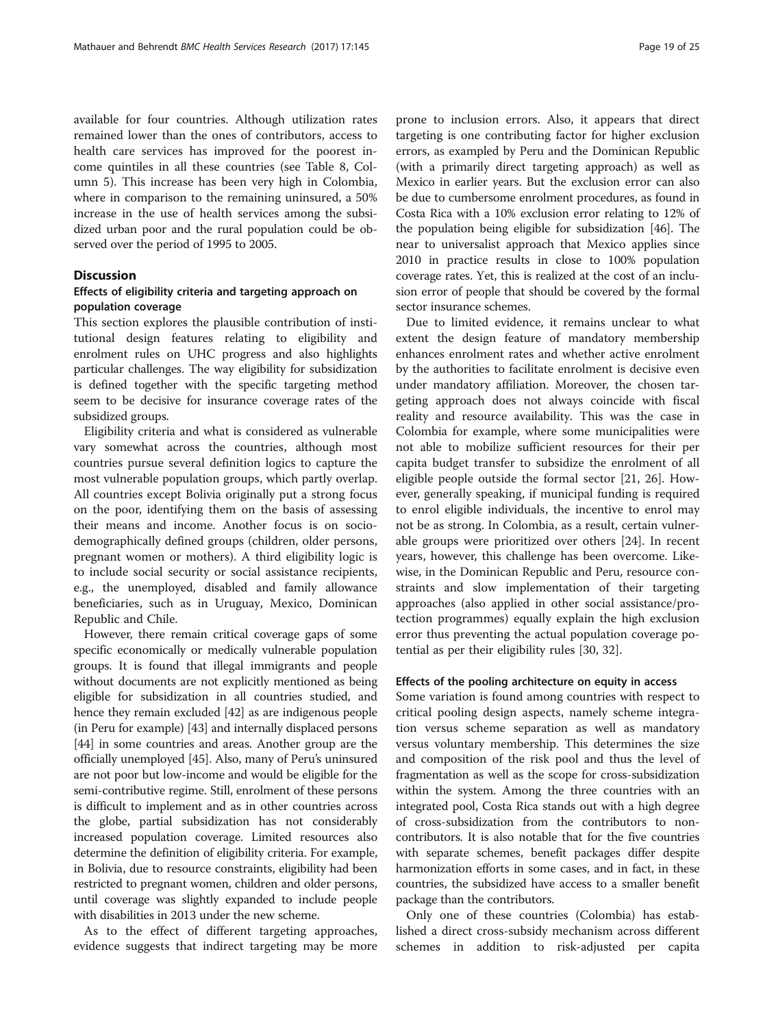<span id="page-18-0"></span>available for four countries. Although utilization rates remained lower than the ones of contributors, access to health care services has improved for the poorest income quintiles in all these countries (see Table [8](#page-17-0), Column 5). This increase has been very high in Colombia, where in comparison to the remaining uninsured, a 50% increase in the use of health services among the subsidized urban poor and the rural population could be observed over the period of 1995 to 2005.

#### **Discussion**

#### Effects of eligibility criteria and targeting approach on population coverage

This section explores the plausible contribution of institutional design features relating to eligibility and enrolment rules on UHC progress and also highlights particular challenges. The way eligibility for subsidization is defined together with the specific targeting method seem to be decisive for insurance coverage rates of the subsidized groups.

Eligibility criteria and what is considered as vulnerable vary somewhat across the countries, although most countries pursue several definition logics to capture the most vulnerable population groups, which partly overlap. All countries except Bolivia originally put a strong focus on the poor, identifying them on the basis of assessing their means and income. Another focus is on sociodemographically defined groups (children, older persons, pregnant women or mothers). A third eligibility logic is to include social security or social assistance recipients, e.g., the unemployed, disabled and family allowance beneficiaries, such as in Uruguay, Mexico, Dominican Republic and Chile.

However, there remain critical coverage gaps of some specific economically or medically vulnerable population groups. It is found that illegal immigrants and people without documents are not explicitly mentioned as being eligible for subsidization in all countries studied, and hence they remain excluded [[42](#page-22-0)] as are indigenous people (in Peru for example) [\[43\]](#page-22-0) and internally displaced persons [[44](#page-22-0)] in some countries and areas. Another group are the officially unemployed [\[45\]](#page-22-0). Also, many of Peru's uninsured are not poor but low-income and would be eligible for the semi-contributive regime. Still, enrolment of these persons is difficult to implement and as in other countries across the globe, partial subsidization has not considerably increased population coverage. Limited resources also determine the definition of eligibility criteria. For example, in Bolivia, due to resource constraints, eligibility had been restricted to pregnant women, children and older persons, until coverage was slightly expanded to include people with disabilities in 2013 under the new scheme.

As to the effect of different targeting approaches, evidence suggests that indirect targeting may be more prone to inclusion errors. Also, it appears that direct targeting is one contributing factor for higher exclusion errors, as exampled by Peru and the Dominican Republic (with a primarily direct targeting approach) as well as Mexico in earlier years. But the exclusion error can also be due to cumbersome enrolment procedures, as found in Costa Rica with a 10% exclusion error relating to 12% of the population being eligible for subsidization [\[46](#page-22-0)]. The near to universalist approach that Mexico applies since 2010 in practice results in close to 100% population coverage rates. Yet, this is realized at the cost of an inclusion error of people that should be covered by the formal sector insurance schemes.

Due to limited evidence, it remains unclear to what extent the design feature of mandatory membership enhances enrolment rates and whether active enrolment by the authorities to facilitate enrolment is decisive even under mandatory affiliation. Moreover, the chosen targeting approach does not always coincide with fiscal reality and resource availability. This was the case in Colombia for example, where some municipalities were not able to mobilize sufficient resources for their per capita budget transfer to subsidize the enrolment of all eligible people outside the formal sector [[21, 26](#page-22-0)]. However, generally speaking, if municipal funding is required to enrol eligible individuals, the incentive to enrol may not be as strong. In Colombia, as a result, certain vulnerable groups were prioritized over others [\[24\]](#page-22-0). In recent years, however, this challenge has been overcome. Likewise, in the Dominican Republic and Peru, resource constraints and slow implementation of their targeting approaches (also applied in other social assistance/protection programmes) equally explain the high exclusion error thus preventing the actual population coverage potential as per their eligibility rules [[30, 32](#page-22-0)].

#### Effects of the pooling architecture on equity in access

Some variation is found among countries with respect to critical pooling design aspects, namely scheme integration versus scheme separation as well as mandatory versus voluntary membership. This determines the size and composition of the risk pool and thus the level of fragmentation as well as the scope for cross-subsidization within the system. Among the three countries with an integrated pool, Costa Rica stands out with a high degree of cross-subsidization from the contributors to noncontributors. It is also notable that for the five countries with separate schemes, benefit packages differ despite harmonization efforts in some cases, and in fact, in these countries, the subsidized have access to a smaller benefit package than the contributors.

Only one of these countries (Colombia) has established a direct cross-subsidy mechanism across different schemes in addition to risk-adjusted per capita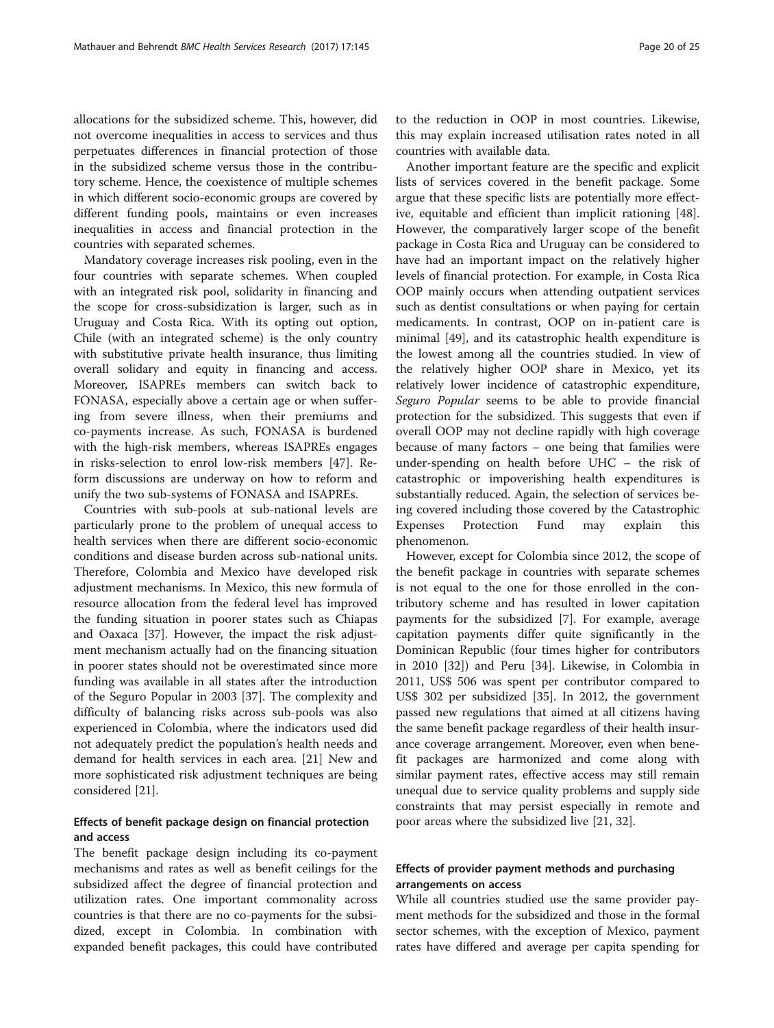allocations for the subsidized scheme. This, however, did not overcome inequalities in access to services and thus perpetuates differences in financial protection of those in the subsidized scheme versus those in the contributory scheme. Hence, the coexistence of multiple schemes in which different socio-economic groups are covered by different funding pools, maintains or even increases inequalities in access and financial protection in the countries with separated schemes.

Mandatory coverage increases risk pooling, even in the four countries with separate schemes. When coupled with an integrated risk pool, solidarity in financing and the scope for cross-subsidization is larger, such as in Uruguay and Costa Rica. With its opting out option, Chile (with an integrated scheme) is the only country with substitutive private health insurance, thus limiting overall solidary and equity in financing and access. Moreover, ISAPREs members can switch back to FONASA, especially above a certain age or when suffering from severe illness, when their premiums and co-payments increase. As such, FONASA is burdened with the high-risk members, whereas ISAPREs engages in risks-selection to enrol low-risk members [\[47](#page-22-0)]. Reform discussions are underway on how to reform and unify the two sub-systems of FONASA and ISAPREs.

Countries with sub-pools at sub-national levels are particularly prone to the problem of unequal access to health services when there are different socio-economic conditions and disease burden across sub-national units. Therefore, Colombia and Mexico have developed risk adjustment mechanisms. In Mexico, this new formula of resource allocation from the federal level has improved the funding situation in poorer states such as Chiapas and Oaxaca [\[37\]](#page-22-0). However, the impact the risk adjustment mechanism actually had on the financing situation in poorer states should not be overestimated since more funding was available in all states after the introduction of the Seguro Popular in 2003 [[37\]](#page-22-0). The complexity and difficulty of balancing risks across sub-pools was also experienced in Colombia, where the indicators used did not adequately predict the population's health needs and demand for health services in each area. [[21](#page-22-0)] New and more sophisticated risk adjustment techniques are being considered [[21\]](#page-22-0).

## Effects of benefit package design on financial protection and access

The benefit package design including its co-payment mechanisms and rates as well as benefit ceilings for the subsidized affect the degree of financial protection and utilization rates. One important commonality across countries is that there are no co-payments for the subsidized, except in Colombia. In combination with expanded benefit packages, this could have contributed to the reduction in OOP in most countries. Likewise, this may explain increased utilisation rates noted in all countries with available data.

Another important feature are the specific and explicit lists of services covered in the benefit package. Some argue that these specific lists are potentially more effective, equitable and efficient than implicit rationing [\[48](#page-22-0)]. However, the comparatively larger scope of the benefit package in Costa Rica and Uruguay can be considered to have had an important impact on the relatively higher levels of financial protection. For example, in Costa Rica OOP mainly occurs when attending outpatient services such as dentist consultations or when paying for certain medicaments. In contrast, OOP on in-patient care is minimal [[49](#page-22-0)], and its catastrophic health expenditure is the lowest among all the countries studied. In view of the relatively higher OOP share in Mexico, yet its relatively lower incidence of catastrophic expenditure, Seguro Popular seems to be able to provide financial protection for the subsidized. This suggests that even if overall OOP may not decline rapidly with high coverage because of many factors – one being that families were under-spending on health before UHC – the risk of catastrophic or impoverishing health expenditures is substantially reduced. Again, the selection of services being covered including those covered by the Catastrophic Expenses Protection Fund may explain this phenomenon.

However, except for Colombia since 2012, the scope of the benefit package in countries with separate schemes is not equal to the one for those enrolled in the contributory scheme and has resulted in lower capitation payments for the subsidized [\[7](#page-21-0)]. For example, average capitation payments differ quite significantly in the Dominican Republic (four times higher for contributors in 2010 [[32\]](#page-22-0)) and Peru [\[34\]](#page-22-0). Likewise, in Colombia in 2011, US\$ 506 was spent per contributor compared to US\$ 302 per subsidized [\[35\]](#page-22-0). In 2012, the government passed new regulations that aimed at all citizens having the same benefit package regardless of their health insurance coverage arrangement. Moreover, even when benefit packages are harmonized and come along with similar payment rates, effective access may still remain unequal due to service quality problems and supply side constraints that may persist especially in remote and poor areas where the subsidized live [\[21, 32\]](#page-22-0).

### Effects of provider payment methods and purchasing arrangements on access

While all countries studied use the same provider payment methods for the subsidized and those in the formal sector schemes, with the exception of Mexico, payment rates have differed and average per capita spending for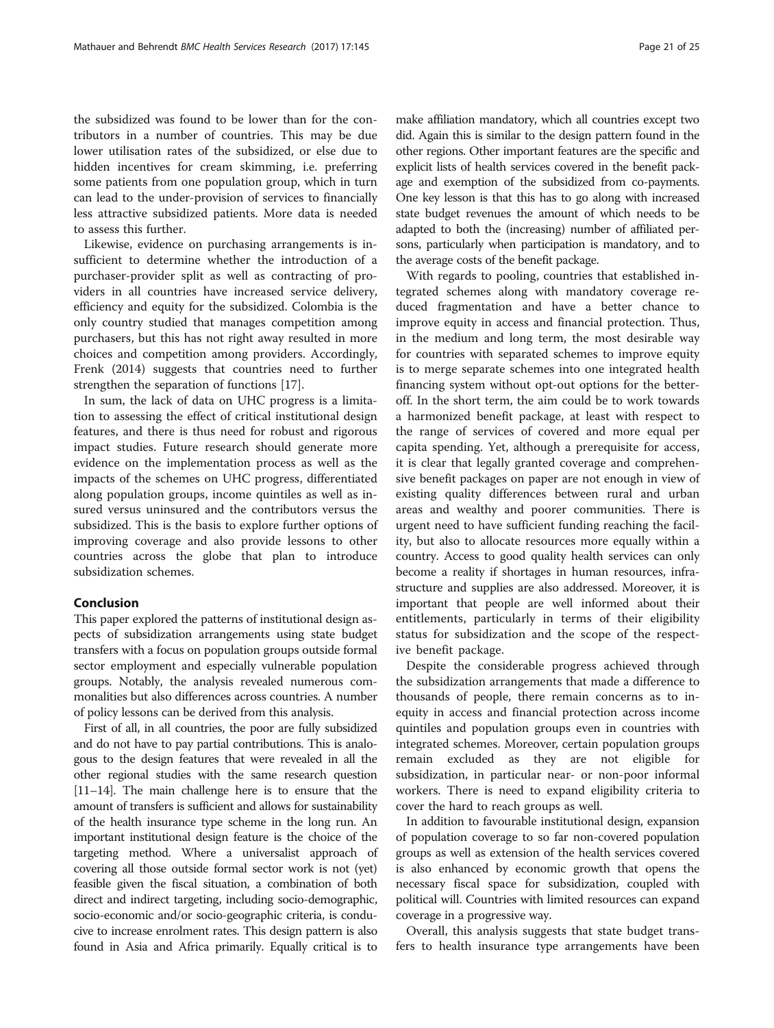<span id="page-20-0"></span>the subsidized was found to be lower than for the contributors in a number of countries. This may be due lower utilisation rates of the subsidized, or else due to hidden incentives for cream skimming, i.e. preferring some patients from one population group, which in turn can lead to the under-provision of services to financially less attractive subsidized patients. More data is needed to assess this further.

Likewise, evidence on purchasing arrangements is insufficient to determine whether the introduction of a purchaser-provider split as well as contracting of providers in all countries have increased service delivery, efficiency and equity for the subsidized. Colombia is the only country studied that manages competition among purchasers, but this has not right away resulted in more choices and competition among providers. Accordingly, Frenk (2014) suggests that countries need to further strengthen the separation of functions [\[17\]](#page-21-0).

In sum, the lack of data on UHC progress is a limitation to assessing the effect of critical institutional design features, and there is thus need for robust and rigorous impact studies. Future research should generate more evidence on the implementation process as well as the impacts of the schemes on UHC progress, differentiated along population groups, income quintiles as well as insured versus uninsured and the contributors versus the subsidized. This is the basis to explore further options of improving coverage and also provide lessons to other countries across the globe that plan to introduce subsidization schemes.

#### Conclusion

This paper explored the patterns of institutional design aspects of subsidization arrangements using state budget transfers with a focus on population groups outside formal sector employment and especially vulnerable population groups. Notably, the analysis revealed numerous commonalities but also differences across countries. A number of policy lessons can be derived from this analysis.

First of all, in all countries, the poor are fully subsidized and do not have to pay partial contributions. This is analogous to the design features that were revealed in all the other regional studies with the same research question [[11](#page-21-0)–[14](#page-21-0)]. The main challenge here is to ensure that the amount of transfers is sufficient and allows for sustainability of the health insurance type scheme in the long run. An important institutional design feature is the choice of the targeting method. Where a universalist approach of covering all those outside formal sector work is not (yet) feasible given the fiscal situation, a combination of both direct and indirect targeting, including socio-demographic, socio-economic and/or socio-geographic criteria, is conducive to increase enrolment rates. This design pattern is also found in Asia and Africa primarily. Equally critical is to make affiliation mandatory, which all countries except two did. Again this is similar to the design pattern found in the other regions. Other important features are the specific and explicit lists of health services covered in the benefit package and exemption of the subsidized from co-payments. One key lesson is that this has to go along with increased state budget revenues the amount of which needs to be adapted to both the (increasing) number of affiliated persons, particularly when participation is mandatory, and to the average costs of the benefit package.

With regards to pooling, countries that established integrated schemes along with mandatory coverage reduced fragmentation and have a better chance to improve equity in access and financial protection. Thus, in the medium and long term, the most desirable way for countries with separated schemes to improve equity is to merge separate schemes into one integrated health financing system without opt-out options for the betteroff. In the short term, the aim could be to work towards a harmonized benefit package, at least with respect to the range of services of covered and more equal per capita spending. Yet, although a prerequisite for access, it is clear that legally granted coverage and comprehensive benefit packages on paper are not enough in view of existing quality differences between rural and urban areas and wealthy and poorer communities. There is urgent need to have sufficient funding reaching the facility, but also to allocate resources more equally within a country. Access to good quality health services can only become a reality if shortages in human resources, infrastructure and supplies are also addressed. Moreover, it is important that people are well informed about their entitlements, particularly in terms of their eligibility status for subsidization and the scope of the respective benefit package.

Despite the considerable progress achieved through the subsidization arrangements that made a difference to thousands of people, there remain concerns as to inequity in access and financial protection across income quintiles and population groups even in countries with integrated schemes. Moreover, certain population groups remain excluded as they are not eligible for subsidization, in particular near- or non-poor informal workers. There is need to expand eligibility criteria to cover the hard to reach groups as well.

In addition to favourable institutional design, expansion of population coverage to so far non-covered population groups as well as extension of the health services covered is also enhanced by economic growth that opens the necessary fiscal space for subsidization, coupled with political will. Countries with limited resources can expand coverage in a progressive way.

Overall, this analysis suggests that state budget transfers to health insurance type arrangements have been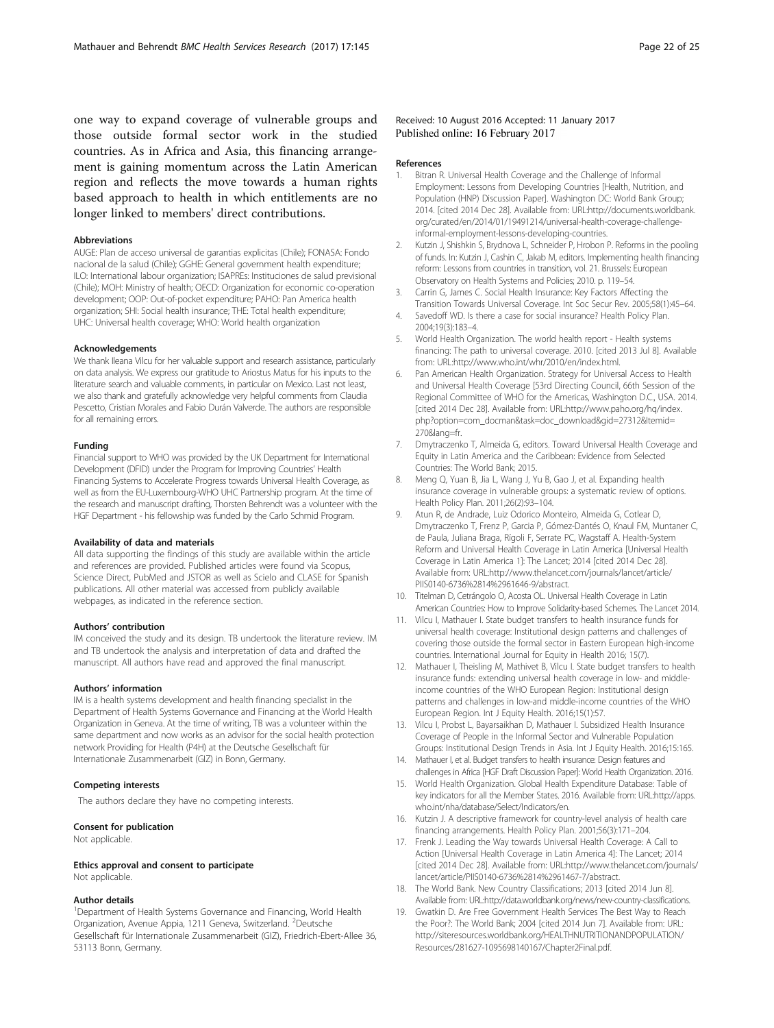<span id="page-21-0"></span>one way to expand coverage of vulnerable groups and those outside formal sector work in the studied countries. As in Africa and Asia, this financing arrangement is gaining momentum across the Latin American region and reflects the move towards a human rights based approach to health in which entitlements are no longer linked to members' direct contributions.

#### Abbreviations

AUGE: Plan de acceso universal de garantias explicitas (Chile); FONASA: Fondo nacional de la salud (Chile); GGHE: General government health expenditure; ILO: International labour organization; ISAPREs: Instituciones de salud previsional (Chile); MOH: Ministry of health; OECD: Organization for economic co-operation development; OOP: Out-of-pocket expenditure; PAHO: Pan America health organization; SHI: Social health insurance; THE: Total health expenditure; UHC: Universal health coverage; WHO: World health organization

#### Acknowledgements

We thank Ileana Vilcu for her valuable support and research assistance, particularly on data analysis. We express our gratitude to Ariostus Matus for his inputs to the literature search and valuable comments, in particular on Mexico. Last not least, we also thank and gratefully acknowledge very helpful comments from Claudia Pescetto, Cristian Morales and Fabio Durán Valverde. The authors are responsible for all remaining errors.

#### Funding

Financial support to WHO was provided by the UK Department for International Development (DFID) under the Program for Improving Countries' Health Financing Systems to Accelerate Progress towards Universal Health Coverage, as well as from the EU-Luxembourg-WHO UHC Partnership program. At the time of the research and manuscript drafting, Thorsten Behrendt was a volunteer with the HGF Department - his fellowship was funded by the Carlo Schmid Program.

#### Availability of data and materials

All data supporting the findings of this study are available within the article and references are provided. Published articles were found via Scopus, Science Direct, PubMed and JSTOR as well as Scielo and CLASE for Spanish publications. All other material was accessed from publicly available webpages, as indicated in the reference section.

#### Authors' contribution

IM conceived the study and its design. TB undertook the literature review. IM and TB undertook the analysis and interpretation of data and drafted the manuscript. All authors have read and approved the final manuscript.

#### Authors' information

IM is a health systems development and health financing specialist in the Department of Health Systems Governance and Financing at the World Health Organization in Geneva. At the time of writing, TB was a volunteer within the same department and now works as an advisor for the social health protection network Providing for Health (P4H) at the Deutsche Gesellschaft für Internationale Zusammenarbeit (GIZ) in Bonn, Germany.

#### Competing interests

The authors declare they have no competing interests.

#### Consent for publication

Not applicable.

#### Ethics approval and consent to participate

Not applicable.

#### Author details

<sup>1</sup>Department of Health Systems Governance and Financing, World Health Organization, Avenue Appia, 1211 Geneva, Switzerland. <sup>2</sup>Deutsche Gesellschaft für Internationale Zusammenarbeit (GIZ), Friedrich-Ebert-Allee 36, 53113 Bonn, Germany.

#### Received: 10 August 2016 Accepted: 11 January 2017 Published online: 16 February 2017

#### References

- 1. Bitran R. Universal Health Coverage and the Challenge of Informal Employment: Lessons from Developing Countries [Health, Nutrition, and Population (HNP) Discussion Paper]. Washington DC: World Bank Group; 2014. [cited 2014 Dec 28]. Available from: URL:http://documents.worldbank. org/curated/en/2014/01/19491214/universal-health-coverage-challengeinformal-employment-lessons-developing-countries.
- 2. Kutzin J, Shishkin S, Brydnova L, Schneider P, Hrobon P. Reforms in the pooling of funds. In: Kutzin J, Cashin C, Jakab M, editors. Implementing health financing reform: Lessons from countries in transition, vol. 21. Brussels: European Observatory on Health Systems and Policies; 2010. p. 119–54.
- 3. Carrin G, James C. Social Health Insurance: Key Factors Affecting the Transition Towards Universal Coverage. Int Soc Secur Rev. 2005;58(1):45–64.
- 4. Savedoff WD. Is there a case for social insurance? Health Policy Plan. 2004;19(3):183–4.
- 5. World Health Organization. The world health report Health systems financing: The path to universal coverage. 2010. [cited 2013 Jul 8]. Available from: URL:<http://www.who.int/whr/2010/en/index.html>.
- 6. Pan American Health Organization. Strategy for Universal Access to Health and Universal Health Coverage [53rd Directing Council, 66th Session of the Regional Committee of WHO for the Americas, Washington D.C., USA. 2014. [cited 2014 Dec 28]. Available from: URL:http://www.paho.org/hq/index. php?option=com\_docman&task=doc\_download&gid=27312&Itemid= 270&lang=fr.
- 7. Dmytraczenko T, Almeida G, editors. Toward Universal Health Coverage and Equity in Latin America and the Caribbean: Evidence from Selected Countries: The World Bank; 2015.
- 8. Meng Q, Yuan B, Jia L, Wang J, Yu B, Gao J, et al. Expanding health insurance coverage in vulnerable groups: a systematic review of options. Health Policy Plan. 2011;26(2):93–104.
- Atun R, de Andrade, Luiz Odorico Monteiro, Almeida G, Cotlear D, Dmytraczenko T, Frenz P, Garcia P, Gómez-Dantés O, Knaul FM, Muntaner C, de Paula, Juliana Braga, Rígoli F, Serrate PC, Wagstaff A. Health-System Reform and Universal Health Coverage in Latin America [Universal Health Coverage in Latin America 1]: The Lancet; 2014 [cited 2014 Dec 28]. Available from: URL[:http://www.thelancet.com/journals/lancet/article/](http://www.thelancet.com/journals/lancet/article/PIIS0140-6736%2814%2961646-9/abstract) [PIIS0140-6736%2814%2961646-9/abstract](http://www.thelancet.com/journals/lancet/article/PIIS0140-6736%2814%2961646-9/abstract).
- 10. Titelman D, Cetrángolo O, Acosta OL. Universal Health Coverage in Latin American Countries: How to Improve Solidarity-based Schemes. The Lancet 2014.
- 11. Vilcu I, Mathauer I. State budget transfers to health insurance funds for universal health coverage: Institutional design patterns and challenges of covering those outside the formal sector in Eastern European high-income countries. International Journal for Equity in Health 2016; 15(7).
- 12. Mathauer I, Theisling M, Mathivet B, Vilcu I. State budget transfers to health insurance funds: extending universal health coverage in low- and middleincome countries of the WHO European Region: Institutional design patterns and challenges in low-and middle-income countries of the WHO European Region. Int J Equity Health. 2016;15(1):57.
- 13. Vilcu I, Probst L, Bayarsaikhan D, Mathauer I. Subsidized Health Insurance Coverage of People in the Informal Sector and Vulnerable Population Groups: Institutional Design Trends in Asia. Int J Equity Health. 2016;15:165.
- 14. Mathauer I, et al. Budget transfers to health insurance: Design features and challenges in Africa [HGF Draft Discussion Paper]: World Health Organization. 2016.
- 15. World Health Organization. Global Health Expenditure Database: Table of key indicators for all the Member States. 2016. Available from: URL[:http://apps.](http://apps.who.int/nha/database/Select/Indicators/en) [who.int/nha/database/Select/Indicators/en](http://apps.who.int/nha/database/Select/Indicators/en).
- 16. Kutzin J. A descriptive framework for country-level analysis of health care financing arrangements. Health Policy Plan. 2001;56(3):171–204.
- 17. Frenk J. Leading the Way towards Universal Health Coverage: A Call to Action [Universal Health Coverage in Latin America 4]: The Lancet; 2014 [cited 2014 Dec 28]. Available from: URL:[http://www.thelancet.com/journals/](http://www.thelancet.com/journals/lancet/article/PIIS0140-6736%2814%2961467-7/abstract) [lancet/article/PIIS0140-6736%2814%2961467-7/abstract](http://www.thelancet.com/journals/lancet/article/PIIS0140-6736%2814%2961467-7/abstract).
- 18. The World Bank. New Country Classifications; 2013 [cited 2014 Jun 8]. Available from: URL:<http://data.worldbank.org/news/new-country-classifications>.
- 19. Gwatkin D. Are Free Government Health Services The Best Way to Reach the Poor?: The World Bank; 2004 [cited 2014 Jun 7]. Available from: URL: [http://siteresources.worldbank.org/HEALTHNUTRITIONANDPOPULATION/](http://siteresources.worldbank.org/HEALTHNUTRITIONANDPOPULATION/Resources/281627-1095698140167/Chapter2Final.pdf) [Resources/281627-1095698140167/Chapter2Final.pdf.](http://siteresources.worldbank.org/HEALTHNUTRITIONANDPOPULATION/Resources/281627-1095698140167/Chapter2Final.pdf)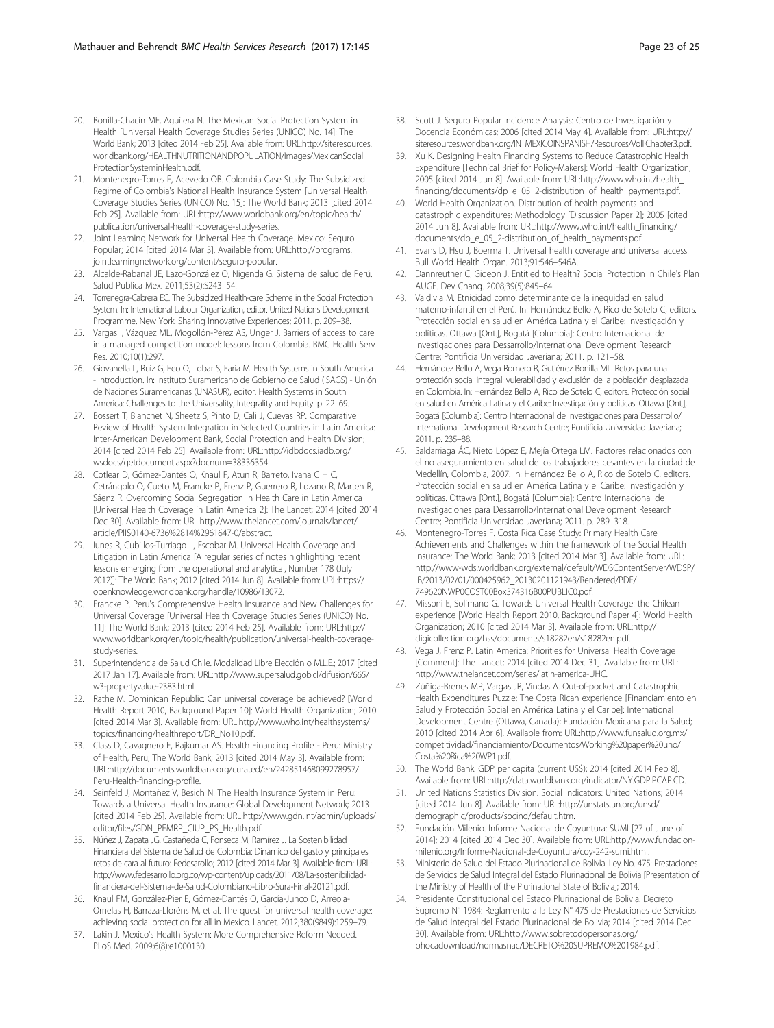- <span id="page-22-0"></span>20. Bonilla-Chacín ME, Aguilera N. The Mexican Social Protection System in Health [Universal Health Coverage Studies Series (UNICO) No. 14]: The World Bank; 2013 [cited 2014 Feb 25]. Available from: URL[:http://siteresources.](http://siteresources.worldbank.org/HEALTHNUTRITIONANDPOPULATION/Images/MexicanSocialProtectionSysteminHealth.pdf) [worldbank.org/HEALTHNUTRITIONANDPOPULATION/Images/MexicanSocial](http://siteresources.worldbank.org/HEALTHNUTRITIONANDPOPULATION/Images/MexicanSocialProtectionSysteminHealth.pdf) [ProtectionSysteminHealth.pdf](http://siteresources.worldbank.org/HEALTHNUTRITIONANDPOPULATION/Images/MexicanSocialProtectionSysteminHealth.pdf).
- 21. Montenegro-Torres F, Acevedo OB. Colombia Case Study: The Subsidized Regime of Colombia's National Health Insurance System [Universal Health Coverage Studies Series (UNICO) No. 15]: The World Bank; 2013 [cited 2014 Feb 25]. Available from: URL[:http://www.worldbank.org/en/topic/health/](http://www.worldbank.org/en/topic/health/publication/universal-health-coverage-study-series) [publication/universal-health-coverage-study-series](http://www.worldbank.org/en/topic/health/publication/universal-health-coverage-study-series).
- 22. Joint Learning Network for Universal Health Coverage. Mexico: Seguro Popular; 2014 [cited 2014 Mar 3]. Available from: URL:[http://programs.](http://programs.jointlearningnetwork.org/content/seguro-popular) [jointlearningnetwork.org/content/seguro-popular](http://programs.jointlearningnetwork.org/content/seguro-popular).
- 23. Alcalde-Rabanal JE, Lazo-González O, Nigenda G. Sistema de salud de Perú. Salud Publica Mex. 2011;53(2):S243–54.
- 24. Torrenegra-Cabrera EC. The Subsidized Health-care Scheme in the Social Protection System. In: International Labour Organization, editor. United Nations Development Programme. New York: Sharing Innovative Experiences; 2011. p. 209–38.
- 25. Vargas I, Vázquez ML, Mogollón-Pérez AS, Unger J. Barriers of access to care in a managed competition model: lessons from Colombia. BMC Health Serv Res. 2010;10(1):297.
- 26. Giovanella L, Ruiz G, Feo O, Tobar S, Faria M. Health Systems in South America - Introduction. In: Instituto Suramericano de Gobierno de Salud (ISAGS) - Unión de Naciones Suramericanas (UNASUR), editor. Health Systems in South America: Challenges to the Universality, Integrality and Equity. p. 22–69.
- 27. Bossert T, Blanchet N, Sheetz S, Pinto D, Cali J, Cuevas RP. Comparative Review of Health System Integration in Selected Countries in Latin America: Inter-American Development Bank, Social Protection and Health Division; 2014 [cited 2014 Feb 25]. Available from: URL:[http://idbdocs.iadb.org/](http://idbdocs.iadb.org/wsdocs/getdocument.aspx?docnum=38336354) [wsdocs/getdocument.aspx?docnum=38336354](http://idbdocs.iadb.org/wsdocs/getdocument.aspx?docnum=38336354).
- 28. Cotlear D, Gómez-Dantés O, Knaul F, Atun R, Barreto, Ivana C H C, Cetrángolo O, Cueto M, Francke P, Frenz P, Guerrero R, Lozano R, Marten R, Sáenz R. Overcoming Social Segregation in Health Care in Latin America [Universal Health Coverage in Latin America 2]: The Lancet; 2014 [cited 2014 Dec 30]. Available from: URL:[http://www.thelancet.com/journals/lancet/](http://www.thelancet.com/journals/lancet/article/PIIS0140-6736%2814%2961647-0/abstract) [article/PIIS0140-6736%2814%2961647-0/abstract](http://www.thelancet.com/journals/lancet/article/PIIS0140-6736%2814%2961647-0/abstract).
- 29. Iunes R, Cubillos-Turriago L, Escobar M. Universal Health Coverage and Litigation in Latin America [A regular series of notes highlighting recent lessons emerging from the operational and analytical, Number 178 (July 2012)]: The World Bank; 2012 [cited 2014 Jun 8]. Available from: URL[:https://](https://openknowledge.worldbank.org/handle/10986/13072) [openknowledge.worldbank.org/handle/10986/13072](https://openknowledge.worldbank.org/handle/10986/13072).
- 30. Francke P. Peru's Comprehensive Health Insurance and New Challenges for Universal Coverage [Universal Health Coverage Studies Series (UNICO) No. 11]: The World Bank; 2013 [cited 2014 Feb 25]. Available from: URL[:http://](http://www.worldbank.org/en/topic/health/publication/universal-health-coverage-study-series) [www.worldbank.org/en/topic/health/publication/universal-health-coverage](http://www.worldbank.org/en/topic/health/publication/universal-health-coverage-study-series)[study-series.](http://www.worldbank.org/en/topic/health/publication/universal-health-coverage-study-series)
- 31. Superintendencia de Salud Chile. Modalidad Libre Elección o M.L.E.; 2017 [cited 2017 Jan 17]. Available from: URL[:http://www.supersalud.gob.cl/difusion/665/](http://www.supersalud.gob.cl/difusion/665/w3-propertyvalue-2383.html) [w3-propertyvalue-2383.html](http://www.supersalud.gob.cl/difusion/665/w3-propertyvalue-2383.html).
- 32. Rathe M. Dominican Republic: Can universal coverage be achieved? [World Health Report 2010, Background Paper 10]: World Health Organization; 2010 [cited 2014 Mar 3]. Available from: URL:[http://www.who.int/healthsystems/](http://www.who.int/healthsystems/topics/financing/healthreport/DR_No10.pdf) [topics/financing/healthreport/DR\\_No10.pdf](http://www.who.int/healthsystems/topics/financing/healthreport/DR_No10.pdf).
- 33. Class D, Cavagnero E, Rajkumar AS. Health Financing Profile Peru: Ministry of Health, Peru; The World Bank; 2013 [cited 2014 May 3]. Available from: URL[:http://documents.worldbank.org/curated/en/242851468099278957/](http://documents.worldbank.org/curated/en/242851468099278957/Peru-Health-financing-profile) [Peru-Health-financing-profile](http://documents.worldbank.org/curated/en/242851468099278957/Peru-Health-financing-profile).
- 34. Seinfeld J, Montañez V, Besich N. The Health Insurance System in Peru: Towards a Universal Health Insurance: Global Development Network; 2013 [cited 2014 Feb 25]. Available from: URL:[http://www.gdn.int/admin/uploads/](http://www.gdn.int/admin/uploads/editor/files/GDN_PEMRP_CIUP_PS_Health.pdf) [editor/files/GDN\\_PEMRP\\_CIUP\\_PS\\_Health.pdf.](http://www.gdn.int/admin/uploads/editor/files/GDN_PEMRP_CIUP_PS_Health.pdf)
- 35. Núñez J, Zapata JG, Castañeda C, Fonseca M, Ramírez J. La Sostenibilidad Financiera del Sistema de Salud de Colombia: Dinámico del gasto y principales retos de cara al futuro: Fedesarollo; 2012 [cited 2014 Mar 3]. Available from: URL: [http://www.fedesarrollo.org.co/wp-content/uploads/2011/08/La-sostenibilidad](http://www.fedesarrollo.org.co/wp-content/uploads/2011/08/La-sostenibilidad-financiera-del-Sistema-de-Salud-Colombiano-Libro-Sura-Final-20121.pdf)[financiera-del-Sistema-de-Salud-Colombiano-Libro-Sura-Final-20121.pdf.](http://www.fedesarrollo.org.co/wp-content/uploads/2011/08/La-sostenibilidad-financiera-del-Sistema-de-Salud-Colombiano-Libro-Sura-Final-20121.pdf)
- 36. Knaul FM, González-Pier E, Gómez-Dantés O, García-Junco D, Arreola-Ornelas H, Barraza-Lloréns M, et al. The quest for universal health coverage: achieving social protection for all in Mexico. Lancet. 2012;380(9849):1259–79.
- 37. Lakin J. Mexico's Health System: More Comprehensive Reform Needed. PLoS Med. 2009;6(8):e1000130.
- 38. Scott J. Seguro Popular Incidence Analysis: Centro de Investigación y Docencia Económicas; 2006 [cited 2014 May 4]. Available from: URL[:http://](http://siteresources.worldbank.org/INTMEXICOINSPANISH/Resources/VolIIChapter3.pdf) [siteresources.worldbank.org/INTMEXICOINSPANISH/Resources/VolIIChapter3.pdf](http://siteresources.worldbank.org/INTMEXICOINSPANISH/Resources/VolIIChapter3.pdf).
- 39. Xu K. Designing Health Financing Systems to Reduce Catastrophic Health Expenditure [Technical Brief for Policy-Makers]: World Health Organization; 2005 [cited 2014 Jun 8]. Available from: URL:[http://www.who.int/health\\_](http://www.who.int/health_financing/documents/dp_e_05_2-distribution_of_health_payments.pdf) [financing/documents/dp\\_e\\_05\\_2-distribution\\_of\\_health\\_payments.pdf](http://www.who.int/health_financing/documents/dp_e_05_2-distribution_of_health_payments.pdf).
- 40. World Health Organization. Distribution of health payments and catastrophic expenditures: Methodology [Discussion Paper 2]; 2005 [cited 2014 Jun 8]. Available from: URL:[http://www.who.int/health\\_financing/](http://www.who.int/health_financing/documents/dp_e_05_2-distribution_of_health_payments.pdf) [documents/dp\\_e\\_05\\_2-distribution\\_of\\_health\\_payments.pdf.](http://www.who.int/health_financing/documents/dp_e_05_2-distribution_of_health_payments.pdf)
- 41. Evans D, Hsu J, Boerma T. Universal health coverage and universal access. Bull World Health Organ. 2013;91:546–546A.
- 42. Dannreuther C, Gideon J. Entitled to Health? Social Protection in Chile's Plan AUGE. Dev Chang. 2008;39(5):845–64.
- 43. Valdivia M. Etnicidad como determinante de la inequidad en salud materno-infantil en el Perú. In: Hernández Bello A, Rico de Sotelo C, editors. Protección social en salud en América Latina y el Caribe: Investigación y políticas. Ottawa [Ont.], Bogatá [Columbia]: Centro Internacional de Investigaciones para Dessarrollo/International Development Research Centre; Pontificia Universidad Javeriana; 2011. p. 121–58.
- 44. Hernández Bello A, Vega Romero R, Gutiérrez Bonilla ML. Retos para una protección social integral: vulerabilidad y exclusión de la población desplazada en Colombia. In: Hernández Bello A, Rico de Sotelo C, editors. Protección social en salud en América Latina y el Caribe: Investigación y políticas. Ottawa [Ont.], Bogatá [Columbia]: Centro Internacional de Investigaciones para Dessarrollo/ International Development Research Centre; Pontificia Universidad Javeriana; 2011. p. 235–88.
- 45. Saldarriaga ÁC, Nieto López E, Mejía Ortega LM. Factores relacionados con el no aseguramiento en salud de los trabajadores cesantes en la ciudad de Medellín, Colombia, 2007. In: Hernández Bello A, Rico de Sotelo C, editors. Protección social en salud en América Latina y el Caribe: Investigación y políticas. Ottawa [Ont.], Bogatá [Columbia]: Centro Internacional de Investigaciones para Dessarrollo/International Development Research Centre; Pontificia Universidad Javeriana; 2011. p. 289–318.
- 46. Montenegro-Torres F. Costa Rica Case Study: Primary Health Care Achievements and Challenges within the framework of the Social Health Insurance: The World Bank; 2013 [cited 2014 Mar 3]. Available from: URL: [http://www-wds.worldbank.org/external/default/WDSContentServer/WDSP/](http://www-wds.worldbank.org/external/default/WDSContentServer/WDSP/IB/2013/02/01/000425962_20130201121943/Rendered/PDF/749620NWP0COST00Box374316B00PUBLIC0.pdf) [IB/2013/02/01/000425962\\_20130201121943/Rendered/PDF/](http://www-wds.worldbank.org/external/default/WDSContentServer/WDSP/IB/2013/02/01/000425962_20130201121943/Rendered/PDF/749620NWP0COST00Box374316B00PUBLIC0.pdf) [749620NWP0COST00Box374316B00PUBLIC0.pdf](http://www-wds.worldbank.org/external/default/WDSContentServer/WDSP/IB/2013/02/01/000425962_20130201121943/Rendered/PDF/749620NWP0COST00Box374316B00PUBLIC0.pdf).
- 47. Missoni E, Solimano G. Towards Universal Health Coverage: the Chilean experience [World Health Report 2010, Background Paper 4]: World Health Organization; 2010 [cited 2014 Mar 3]. Available from: URL[:http://](http://digicollection.org/hss/documents/s18282en/s18282en.pdf) [digicollection.org/hss/documents/s18282en/s18282en.pdf](http://digicollection.org/hss/documents/s18282en/s18282en.pdf).
- Vega J, Frenz P. Latin America: Priorities for Universal Health Coverage [Comment]: The Lancet; 2014 [cited 2014 Dec 31]. Available from: URL: [http://www.thelancet.com/series/latin-america-UHC.](http://www.thelancet.com/series/latin-america-UHC)
- 49. Zúñiga-Brenes MP, Vargas JR, Vindas A. Out-of-pocket and Catastrophic Health Expenditures Puzzle: The Costa Rican experience [Financiamiento en Salud y Protección Social en América Latina y el Caribe]: International Development Centre (Ottawa, Canada); Fundación Mexicana para la Salud; 2010 [cited 2014 Apr 6]. Available from: URL:[http://www.funsalud.org.mx/](http://www.funsalud.org.mx/competitividad/financiamiento/Documentos/Working%20paper%20uno/Costa%20Rica%20WP1.pdf) [competitividad/financiamiento/Documentos/Working%20paper%20uno/](http://www.funsalud.org.mx/competitividad/financiamiento/Documentos/Working%20paper%20uno/Costa%20Rica%20WP1.pdf) [Costa%20Rica%20WP1.pdf](http://www.funsalud.org.mx/competitividad/financiamiento/Documentos/Working%20paper%20uno/Costa%20Rica%20WP1.pdf).
- 50. The World Bank. GDP per capita (current US\$); 2014 [cited 2014 Feb 8]. Available from: URL[:http://data.worldbank.org/indicator/NY.GDP.PCAP.CD.](http://data.worldbank.org/indicator/NY.GDP.PCAP.CD)
- 51. United Nations Statistics Division. Social Indicators: United Nations; 2014 [cited 2014 Jun 8]. Available from: URL:[http://unstats.un.org/unsd/](http://unstats.un.org/unsd/demographic/products/socind/default.htm) [demographic/products/socind/default.htm.](http://unstats.un.org/unsd/demographic/products/socind/default.htm)
- 52. Fundación Milenio. Informe Nacional de Coyuntura: SUMI [27 of June of 2014]; 2014 [cited 2014 Dec 30]. Available from: URL[:http://www.fundacion](http://www.fundacion-milenio.org/Informe-Nacional-de-Coyuntura/coy-242-sumi.html)[milenio.org/Informe-Nacional-de-Coyuntura/coy-242-sumi.html.](http://www.fundacion-milenio.org/Informe-Nacional-de-Coyuntura/coy-242-sumi.html)
- 53. Ministerio de Salud del Estado Plurinacional de Bolivia. Ley No. 475: Prestaciones de Servicios de Salud Integral del Estado Plurinacional de Bolivia [Presentation of the Ministry of Health of the Plurinational State of Bolivia]; 2014.
- 54. Presidente Constitucional del Estado Plurinacional de Bolivia. Decreto Supremo N° 1984: Reglamento a la Ley N° 475 de Prestaciones de Servicios de Salud Integral del Estado Plurinacional de Bolivia; 2014 [cited 2014 Dec 30]. Available from: URL:[http://www.sobretodopersonas.org/](http://www.sobretodopersonas.org/phocadownload/normasnac/DECRETO%20SUPREMO%201984.pdf) [phocadownload/normasnac/DECRETO%20SUPREMO%201984.pdf.](http://www.sobretodopersonas.org/phocadownload/normasnac/DECRETO%20SUPREMO%201984.pdf)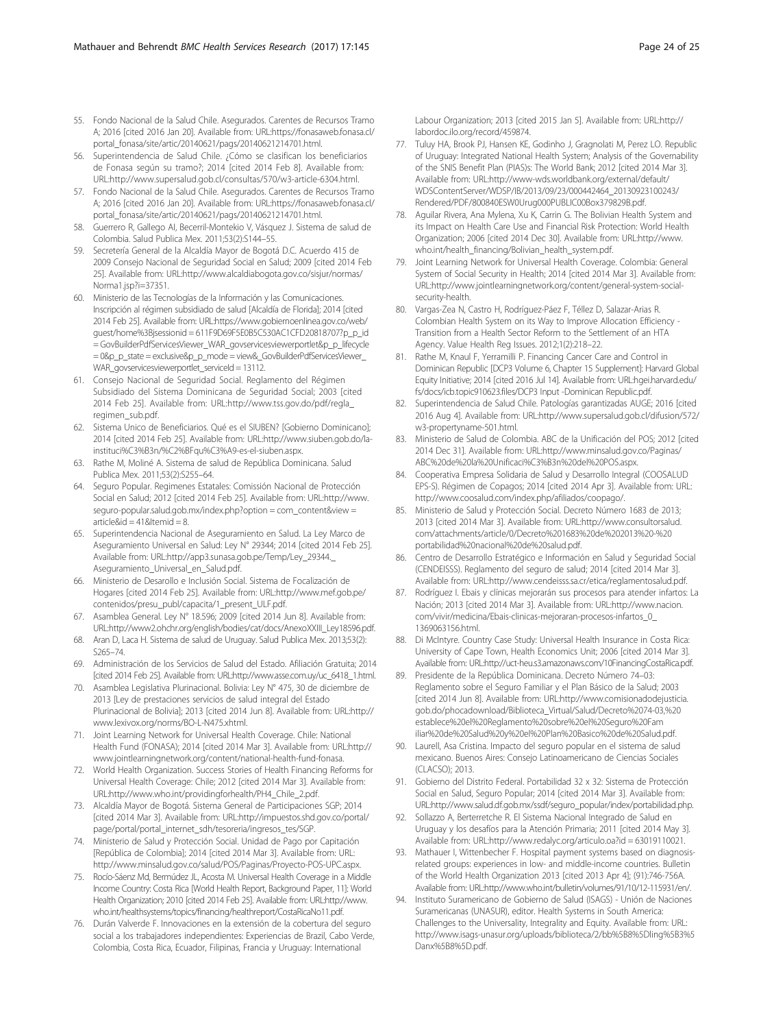- <span id="page-23-0"></span>55. Fondo Nacional de la Salud Chile. Asegurados. Carentes de Recursos Tramo A; 2016 [cited 2016 Jan 20]. Available from: URL[:https://fonasaweb.fonasa.cl/](https://fonasaweb.fonasa.cl/portal_fonasa/site/artic/20140621/pags/20140621214701.html) [portal\\_fonasa/site/artic/20140621/pags/20140621214701.html](https://fonasaweb.fonasa.cl/portal_fonasa/site/artic/20140621/pags/20140621214701.html).
- 56. Superintendencia de Salud Chile. ¿Cómo se clasifican los beneficiarios de Fonasa según su tramo?; 2014 [cited 2014 Feb 8]. Available from: URL[:http://www.supersalud.gob.cl/consultas/570/w3-article-6304.html](http://www.supersalud.gob.cl/consultas/570/w3-article-6304.html).
- 57. Fondo Nacional de la Salud Chile. Asegurados. Carentes de Recursos Tramo A; 2016 [cited 2016 Jan 20]. Available from: URL[:https://fonasaweb.fonasa.cl/](https://fonasaweb.fonasa.cl/portal_fonasa/site/artic/20140621/pags/20140621214701.html) [portal\\_fonasa/site/artic/20140621/pags/20140621214701.html](https://fonasaweb.fonasa.cl/portal_fonasa/site/artic/20140621/pags/20140621214701.html).
- 58. Guerrero R, Gallego AI, Becerril-Montekio V, Vásquez J. Sistema de salud de Colombia. Salud Publica Mex. 2011;53(2):S144–55.
- 59. Secretería General de la Alcaldía Mayor de Bogotá D.C. Acuerdo 415 de 2009 Consejo Nacional de Seguridad Social en Salud; 2009 [cited 2014 Feb 25]. Available from: URL[:http://www.alcaldiabogota.gov.co/sisjur/normas/](http://www.alcaldiabogota.gov.co/sisjur/normas/Norma1.jsp?i=37351) [Norma1.jsp?i=37351](http://www.alcaldiabogota.gov.co/sisjur/normas/Norma1.jsp?i=37351).
- 60. Ministerio de las Tecnologías de la Información y las Comunicaciones. Inscripción al régimen subsidiado de salud [Alcaldía de Florida]; 2014 [cited 2014 Feb 25]. Available from: URL:https://www.gobiernoenlinea.gov.co/web/ guest/home%3Bjsessionid = 611F9D69F5E0B5C530AC1CFD20818707?p\_p\_id = GovBuilderPdfServicesViewer\_WAR\_govservicesviewerportlet&p\_p\_lifecycle = 0&p\_p\_state = exclusive&p\_p\_mode = view&\_GovBuilderPdfServicesViewer\_ WAR\_govservicesviewerportlet\_serviceId = 13112.
- 61. Consejo Nacional de Seguridad Social. Reglamento del Régimen Subsidiado del Sistema Dominicana de Seguridad Social; 2003 [cited 2014 Feb 25]. Available from: URL:http://www.tss.gov.do/pdf/regla\_ regimen\_sub.pdf.
- 62. Sistema Unico de Beneficiarios. Qué es el SIUBEN? [Gobierno Dominicano]; 2014 [cited 2014 Feb 25]. Available from: URL:http://www.siuben.gob.do/lainstituci%C3%B3n/%C2%BFqu%C3%A9-es-el-siuben.aspx.
- 63. Rathe M, Moliné A. Sistema de salud de República Dominicana. Salud Publica Mex. 2011;53(2):S255–64.
- 64. Seguro Popular. Regimenes Estatales: Comissión Nacional de Protección Social en Salud; 2012 [cited 2014 Feb 25]. Available from: URL:http://www. seguro-popular.salud.gob.mx/index.php?option = com\_content&view =  $artiched = 41$ &Itemid = 8
- 65. Superintendencia Nacional de Aseguramiento en Salud. La Ley Marco de Aseguramiento Universal en Salud: Ley N° 29344; 2014 [cited 2014 Feb 25]. Available from: URL:http://app3.sunasa.gob.pe/Temp/Ley\_29344.\_ Aseguramiento\_Universal\_en\_Salud.pdf.
- 66. Ministerio de Desarollo e Inclusión Social. Sistema de Focalización de Hogares [cited 2014 Feb 25]. Available from: URL:http://www.mef.gob.pe/ contenidos/presu\_publ/capacita/1\_present\_ULF.pdf.
- 67. Asamblea General. Ley N° 18.596; 2009 [cited 2014 Jun 8]. Available from: URL:http://www2.ohchr.org/english/bodies/cat/docs/AnexoXXIII\_Ley18596.pdf.
- 68. Aran D, Laca H. Sistema de salud de Uruguay. Salud Publica Mex. 2013;53(2): S265–74.
- 69. Administración de los Servicios de Salud del Estado. Afiliación Gratuita; 2014 [cited 2014 Feb 25]. Available from: URL:http://www.asse.com.uy/uc\_6418\_1.html.
- 70. Asamblea Legislativa Plurinacional. Bolivia: Ley N° 475, 30 de diciembre de 2013 [Ley de prestaciones servicios de salud integral del Estado Plurinacional de Bolivia]; 2013 [cited 2014 Jun 8]. Available from: URL:http:// www.lexivox.org/norms/BO-L-N475.xhtml.
- 71. Joint Learning Network for Universal Health Coverage. Chile: National Health Fund (FONASA); 2014 [cited 2014 Mar 3]. Available from: URL:http:// www.jointlearningnetwork.org/content/national-health-fund-fonasa.
- 72. World Health Organization. Success Stories of Health Financing Reforms for Universal Health Coverage: Chile; 2012 [cited 2014 Mar 3]. Available from: URL:http://www.who.int/providingforhealth/PH4\_Chile\_2.pdf.
- 73. Alcaldía Mayor de Bogotá. Sistema General de Participaciones SGP; 2014 [cited 2014 Mar 3]. Available from: URL:http://impuestos.shd.gov.co/portal/ page/portal/portal\_internet\_sdh/tesoreria/ingresos\_tes/SGP.
- 74. Ministerio de Salud y Protección Social. Unidad de Pago por Capitación [República de Colombia]; 2014 [cited 2014 Mar 3]. Available from: URL: http://www.minsalud.gov.co/salud/POS/Paginas/Proyecto-POS-UPC.aspx.
- 75. Rocío-Sáenz Md, Bermúdez JL, Acosta M. Universal Health Coverage in a Middle Income Country: Costa Rica [World Health Report, Background Paper, 11]: World Health Organization; 2010 [cited 2014 Feb 25]. Available from: URL:http://www. who.int/healthsystems/topics/financing/healthreport/CostaRicaNo11.pdf.
- 76. Durán Valverde F. Innovaciones en la extensión de la cobertura del seguro social a los trabajadores independientes: Experiencias de Brazil, Cabo Verde, Colombia, Costa Rica, Ecuador, Filipinas, Francia y Uruguay: International

Labour Organization; 2013 [cited 2015 Jan 5]. Available from: URL:http:// labordoc.ilo.org/record/459874.

- 77. Tuluy HA, Brook PJ, Hansen KE, Godinho J, Gragnolati M, Perez LO. Republic of Uruguay: Integrated National Health System; Analysis of the Governability of the SNIS Benefit Plan (PIAS)s: The World Bank; 2012 [cited 2014 Mar 3]. Available from: URL:http://www-wds.worldbank.org/external/default/ WDSContentServer/WDSP/IB/2013/09/23/000442464\_20130923100243/ Rendered/PDF/800840ESW0Urug000PUBLIC00Box379829B.pdf.
- 78. Aguilar Rivera, Ana Mylena, Xu K, Carrin G. The Bolivian Health System and its Impact on Health Care Use and Financial Risk Protection: World Health Organization; 2006 [cited 2014 Dec 30]. Available from: URL:http://www. who.int/health\_financing/Bolivian\_health\_system.pdf.
- 79. Joint Learning Network for Universal Health Coverage. Colombia: General System of Social Security in Health; 2014 [cited 2014 Mar 3]. Available from: URL:http://www.jointlearningnetwork.org/content/general-system-socialsecurity-health.
- 80. Vargas-Zea N, Castro H, Rodríguez-Páez F, Téllez D, Salazar-Arias R. Colombian Health System on its Way to Improve Allocation Efficiency - Transition from a Health Sector Reform to the Settlement of an HTA Agency. Value Health Reg Issues. 2012;1(2):218–22.
- 81. Rathe M, Knaul F, Yerramilli P. Financing Cancer Care and Control in Dominican Republic [DCP3 Volume 6, Chapter 15 Supplement]: Harvard Global Equity Initiative; 2014 [cited 2016 Jul 14]. Available from: URL:hgei.harvard.edu/ fs/docs/icb.topic910623.files/DCP3 Input -Dominican Republic.pdf.
- 82. Superintendencia de Salud Chile. Patologías garantizadas AUGE; 2016 [cited 2016 Aug 4]. Available from: URL:http://www.supersalud.gob.cl/difusion/572/ w3-propertyname-501.html.
- 83. Ministerio de Salud de Colombia. ABC de la Unificación del POS; 2012 [cited 2014 Dec 31]. Available from: URL:http://www.minsalud.gov.co/Paginas/ ABC%20de%20la%20Unificaci%C3%B3n%20del%20POS.aspx.
- 84. Cooperativa Empresa Solidaria de Salud y Desarrollo Integral (COOSALUD EPS-S). Régimen de Copagos; 2014 [cited 2014 Apr 3]. Available from: URL: http://www.coosalud.com/index.php/afiliados/coopago/.
- 85. Ministerio de Salud y Protección Social. Decreto Número 1683 de 2013; 2013 [cited 2014 Mar 3]. Available from: URL:http://www.consultorsalud. com/attachments/article/0/Decreto%201683%20de%202013%20-%20 portabilidad%20nacional%20de%20salud.pdf.
- 86. Centro de Desarrollo Estratégico e Información en Salud y Seguridad Social (CENDEISSS). Reglamento del seguro de salud; 2014 [cited 2014 Mar 3]. Available from: URL:http://www.cendeisss.sa.cr/etica/reglamentosalud.pdf.
- 87. Rodríguez I. Ebais y clínicas mejorarán sus procesos para atender infartos: La Nación; 2013 [cited 2014 Mar 3]. Available from: URL:http://www.nacion. com/vivir/medicina/Ebais-clinicas-mejoraran-procesos-infartos\_0\_ 1369063156.html.
- 88. Di McIntyre. Country Case Study: Universal Health Insurance in Costa Rica: University of Cape Town, Health Economics Unit; 2006 [cited 2014 Mar 3]. Available from: URL:http://uct-heu.s3.amazonaws.com/10FinancingCostaRica.pdf.
- 89. Presidente de la República Dominicana. Decreto Número 74–03: Reglamento sobre el Seguro Familiar y el Plan Básico de la Salud; 2003 [cited 2014 Jun 8]. Available from: URL:http://www.comisionadodejusticia. gob.do/phocadownload/Biblioteca\_Virtual/Salud/Decreto%2074-03,%20 establece%20el%20Reglamento%20sobre%20el%20Seguro%20Fam iliar%20de%20Salud%20y%20el%20Plan%20Basico%20de%20Salud.pdf.
- 90. Laurell, Asa Cristina. Impacto del seguro popular en el sistema de salud mexicano. Buenos Aires: Consejo Latinoamericano de Ciencias Sociales (CLACSO); 2013.
- 91. Gobierno del Distrito Federal. Portabilidad 32 x 32: Sistema de Protección Social en Salud, Seguro Popular; 2014 [cited 2014 Mar 3]. Available from: URL:http://www.salud.df.gob.mx/ssdf/seguro\_popular/index/portabilidad.php.
- 92. Sollazzo A, Berterretche R. El Sistema Nacional Integrado de Salud en Uruguay y los desafíos para la Atención Primaria; 2011 [cited 2014 May 3]. Available from: URL:http://www.redalyc.org/articulo.oa?id = 63019110021.
- 93. Mathauer I, Wittenbecher F. Hospital payment systems based on diagnosisrelated groups: experiences in low- and middle-income countries. Bulletin of the World Health Organization 2013 [cited 2013 Apr 4]; (91):746-756A. Available from: URL:http://www.who.int/bulletin/volumes/91/10/12-115931/en/.
- 94. Instituto Suramericano de Gobierno de Salud (ISAGS) Unión de Naciones Suramericanas (UNASUR), editor. Health Systems in South America: Challenges to the Universality, Integrality and Equity. Available from: URL: http://www.isags-unasur.org/uploads/biblioteca/2/bb%5B8%5Dling%5B3%5 Danx%5B8%5D.pdf.